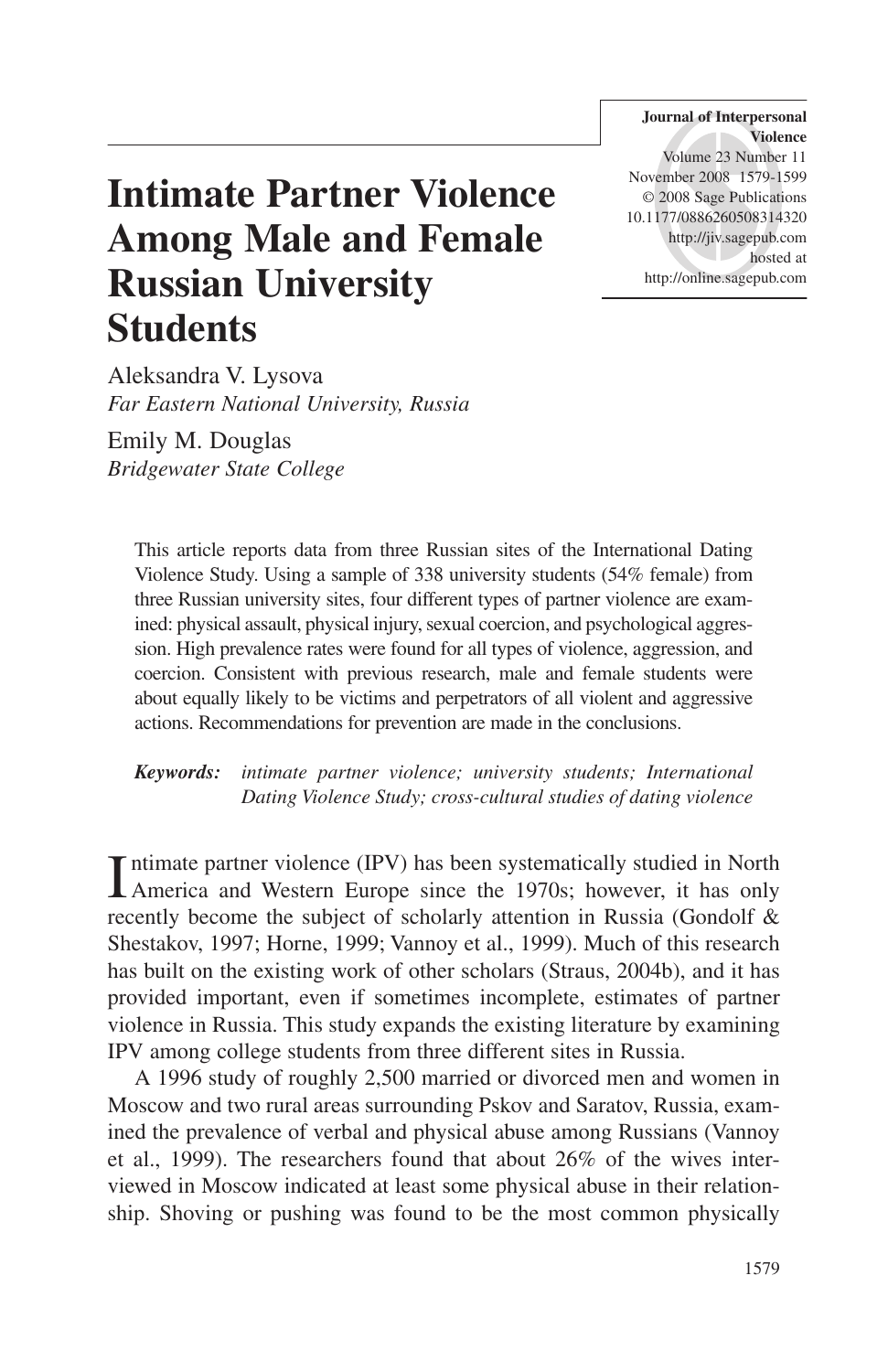**Journal of Interpersonal Violence** Volume 23 Number 11 November 2008 1579-1599 © 2008 Sage Publications 10.1177/0886260508314320 http://jiv.sagepub.com hosted at http://online.sagepub.com

# **Intimate Partner Violence Among Male and Female Russian University Students**

Aleksandra V. Lysova *Far Eastern National University, Russia*

Emily M. Douglas *Bridgewater State College*

> This article reports data from three Russian sites of the International Dating Violence Study. Using a sample of 338 university students (54% female) from three Russian university sites, four different types of partner violence are examined: physical assault, physical injury, sexual coercion, and psychological aggression. High prevalence rates were found for all types of violence, aggression, and coercion. Consistent with previous research, male and female students were about equally likely to be victims and perpetrators of all violent and aggressive actions. Recommendations for prevention are made in the conclusions.

> *Keywords: intimate partner violence; university students; International Dating Violence Study; cross-cultural studies of dating violence*

Intimate partner violence (IPV) has been systematically studied in North<br>America and Western Europe since the 1970s; however, it has only America and Western Europe since the 1970s; however, it has only recently become the subject of scholarly attention in Russia (Gondolf & Shestakov, 1997; Horne, 1999; Vannoy et al., 1999). Much of this research has built on the existing work of other scholars (Straus, 2004b), and it has provided important, even if sometimes incomplete, estimates of partner violence in Russia. This study expands the existing literature by examining IPV among college students from three different sites in Russia.

A 1996 study of roughly 2,500 married or divorced men and women in Moscow and two rural areas surrounding Pskov and Saratov, Russia, examined the prevalence of verbal and physical abuse among Russians (Vannoy et al., 1999). The researchers found that about 26% of the wives interviewed in Moscow indicated at least some physical abuse in their relationship. Shoving or pushing was found to be the most common physically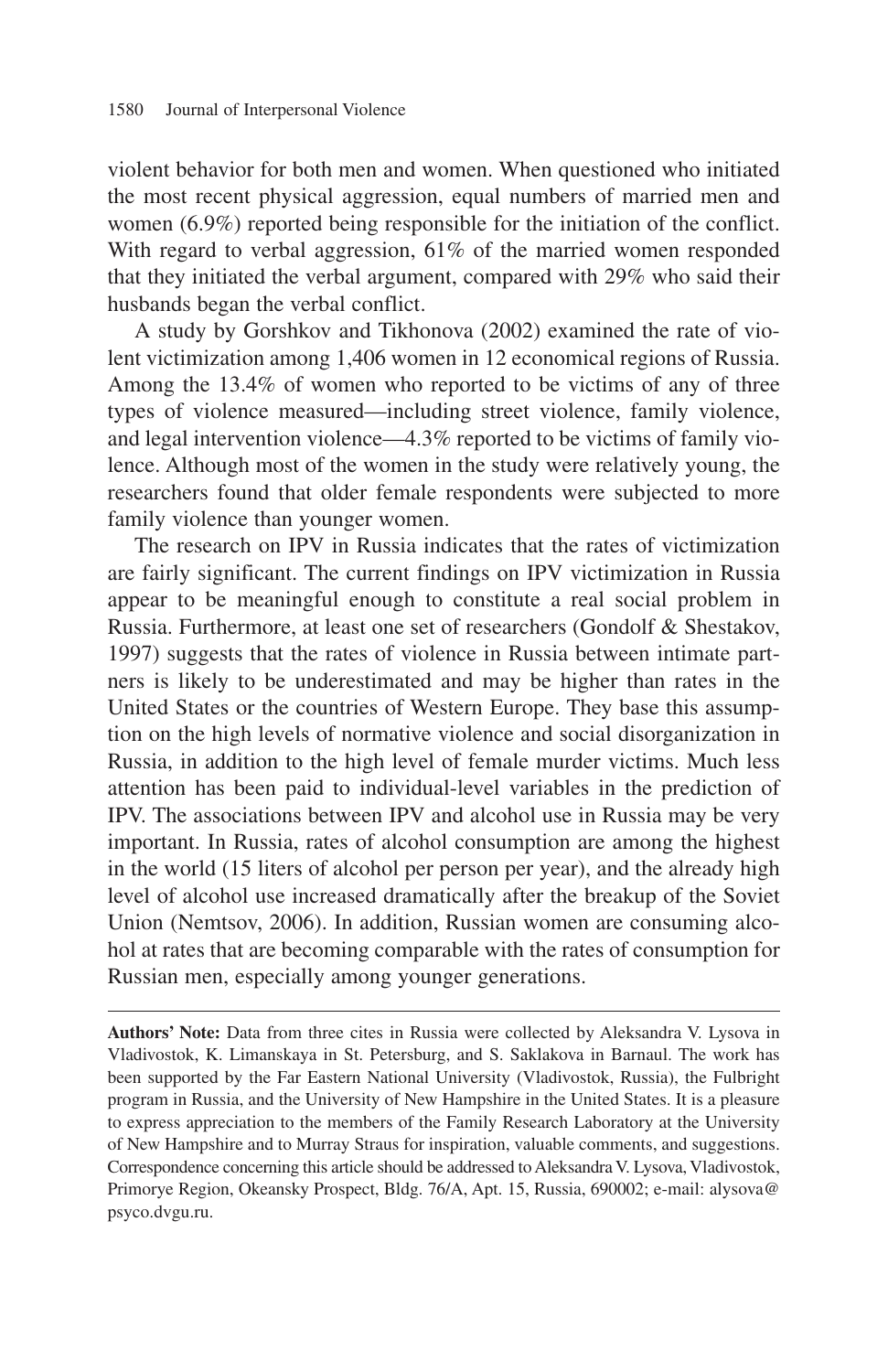violent behavior for both men and women. When questioned who initiated the most recent physical aggression, equal numbers of married men and women (6.9%) reported being responsible for the initiation of the conflict. With regard to verbal aggression, 61% of the married women responded that they initiated the verbal argument, compared with 29% who said their husbands began the verbal conflict.

A study by Gorshkov and Tikhonova (2002) examined the rate of violent victimization among 1,406 women in 12 economical regions of Russia. Among the 13.4% of women who reported to be victims of any of three types of violence measured—including street violence, family violence, and legal intervention violence—4.3% reported to be victims of family violence. Although most of the women in the study were relatively young, the researchers found that older female respondents were subjected to more family violence than younger women.

The research on IPV in Russia indicates that the rates of victimization are fairly significant. The current findings on IPV victimization in Russia appear to be meaningful enough to constitute a real social problem in Russia. Furthermore, at least one set of researchers (Gondolf & Shestakov, 1997) suggests that the rates of violence in Russia between intimate partners is likely to be underestimated and may be higher than rates in the United States or the countries of Western Europe. They base this assumption on the high levels of normative violence and social disorganization in Russia, in addition to the high level of female murder victims. Much less attention has been paid to individual-level variables in the prediction of IPV. The associations between IPV and alcohol use in Russia may be very important. In Russia, rates of alcohol consumption are among the highest in the world (15 liters of alcohol per person per year), and the already high level of alcohol use increased dramatically after the breakup of the Soviet Union (Nemtsov, 2006). In addition, Russian women are consuming alcohol at rates that are becoming comparable with the rates of consumption for Russian men, especially among younger generations.

**Authors' Note:** Data from three cites in Russia were collected by Aleksandra V. Lysova in Vladivostok, K. Limanskaya in St. Petersburg, and S. Saklakova in Barnaul. The work has been supported by the Far Eastern National University (Vladivostok, Russia), the Fulbright program in Russia, and the University of New Hampshire in the United States. It is a pleasure to express appreciation to the members of the Family Research Laboratory at the University of New Hampshire and to Murray Straus for inspiration, valuable comments, and suggestions. Correspondence concerning this article should be addressed to Aleksandra V. Lysova, Vladivostok, Primorye Region, Okeansky Prospect, Bldg. 76/A, Apt. 15, Russia, 690002; e-mail: alysova@ psyco.dvgu.ru.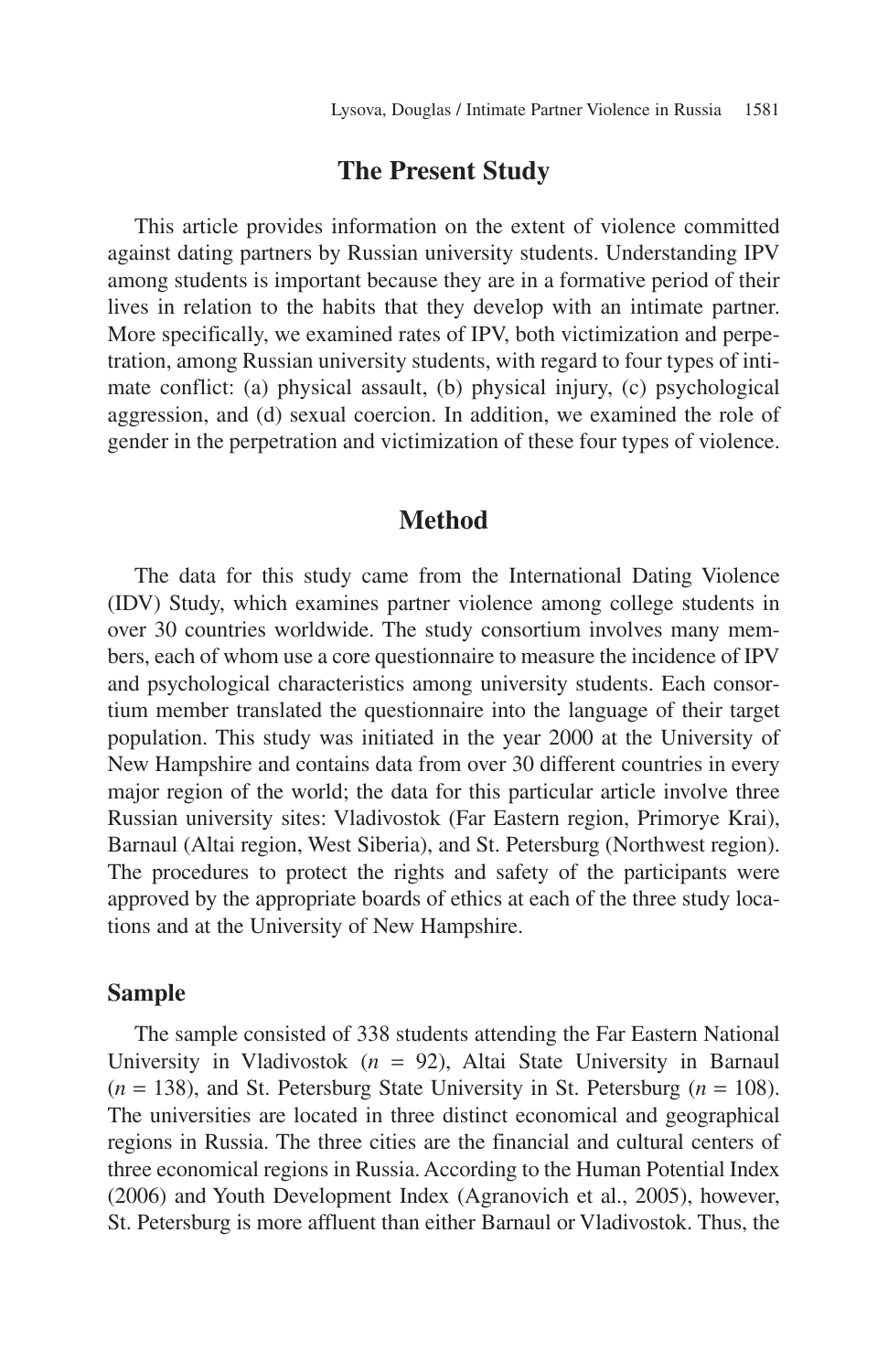## **The Present Study**

This article provides information on the extent of violence committed against dating partners by Russian university students. Understanding IPV among students is important because they are in a formative period of their lives in relation to the habits that they develop with an intimate partner. More specifically, we examined rates of IPV, both victimization and perpetration, among Russian university students, with regard to four types of intimate conflict: (a) physical assault, (b) physical injury, (c) psychological aggression, and (d) sexual coercion. In addition, we examined the role of gender in the perpetration and victimization of these four types of violence.

## **Method**

The data for this study came from the International Dating Violence (IDV) Study, which examines partner violence among college students in over 30 countries worldwide. The study consortium involves many members, each of whom use a core questionnaire to measure the incidence of IPV and psychological characteristics among university students. Each consortium member translated the questionnaire into the language of their target population. This study was initiated in the year 2000 at the University of New Hampshire and contains data from over 30 different countries in every major region of the world; the data for this particular article involve three Russian university sites: Vladivostok (Far Eastern region, Primorye Krai), Barnaul (Altai region, West Siberia), and St. Petersburg (Northwest region). The procedures to protect the rights and safety of the participants were approved by the appropriate boards of ethics at each of the three study locations and at the University of New Hampshire.

#### **Sample**

The sample consisted of 338 students attending the Far Eastern National University in Vladivostok (*n* = 92), Altai State University in Barnaul  $(n = 138)$ , and St. Petersburg State University in St. Petersburg  $(n = 108)$ . The universities are located in three distinct economical and geographical regions in Russia. The three cities are the financial and cultural centers of three economical regions in Russia. According to the Human Potential Index (2006) and Youth Development Index (Agranovich et al., 2005), however, St. Petersburg is more affluent than either Barnaul or Vladivostok. Thus, the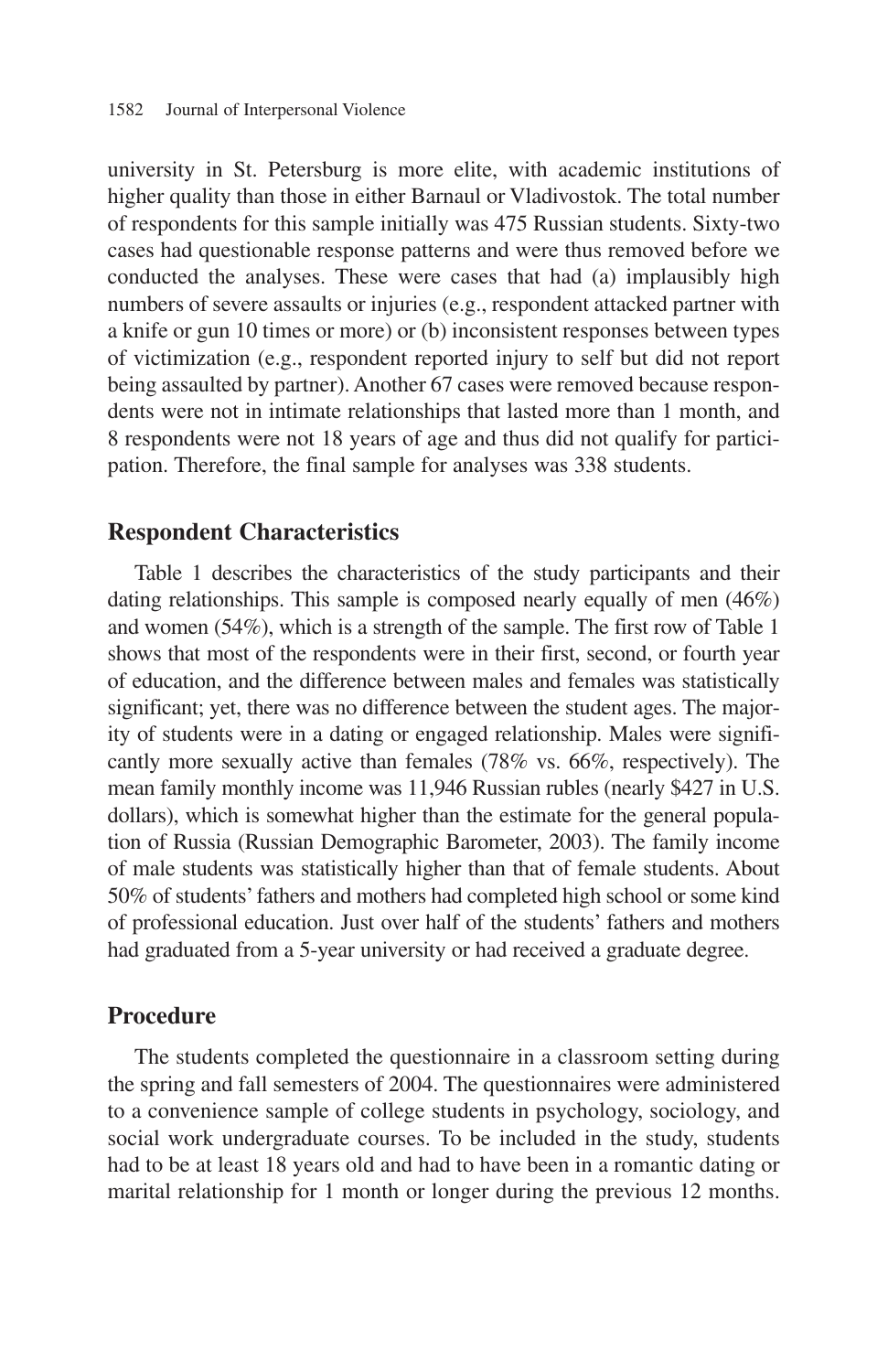university in St. Petersburg is more elite, with academic institutions of higher quality than those in either Barnaul or Vladivostok. The total number of respondents for this sample initially was 475 Russian students. Sixty-two cases had questionable response patterns and were thus removed before we conducted the analyses. These were cases that had (a) implausibly high numbers of severe assaults or injuries (e.g., respondent attacked partner with a knife or gun 10 times or more) or (b) inconsistent responses between types of victimization (e.g., respondent reported injury to self but did not report being assaulted by partner). Another 67 cases were removed because respondents were not in intimate relationships that lasted more than 1 month, and 8 respondents were not 18 years of age and thus did not qualify for participation. Therefore, the final sample for analyses was 338 students.

#### **Respondent Characteristics**

Table 1 describes the characteristics of the study participants and their dating relationships. This sample is composed nearly equally of men (46%) and women (54%), which is a strength of the sample. The first row of Table 1 shows that most of the respondents were in their first, second, or fourth year of education, and the difference between males and females was statistically significant; yet, there was no difference between the student ages. The majority of students were in a dating or engaged relationship. Males were significantly more sexually active than females (78% vs. 66%, respectively). The mean family monthly income was 11,946 Russian rubles (nearly \$427 in U.S. dollars), which is somewhat higher than the estimate for the general population of Russia (Russian Demographic Barometer, 2003). The family income of male students was statistically higher than that of female students. About 50% of students' fathers and mothers had completed high school or some kind of professional education. Just over half of the students' fathers and mothers had graduated from a 5-year university or had received a graduate degree.

#### **Procedure**

The students completed the questionnaire in a classroom setting during the spring and fall semesters of 2004. The questionnaires were administered to a convenience sample of college students in psychology, sociology, and social work undergraduate courses. To be included in the study, students had to be at least 18 years old and had to have been in a romantic dating or marital relationship for 1 month or longer during the previous 12 months.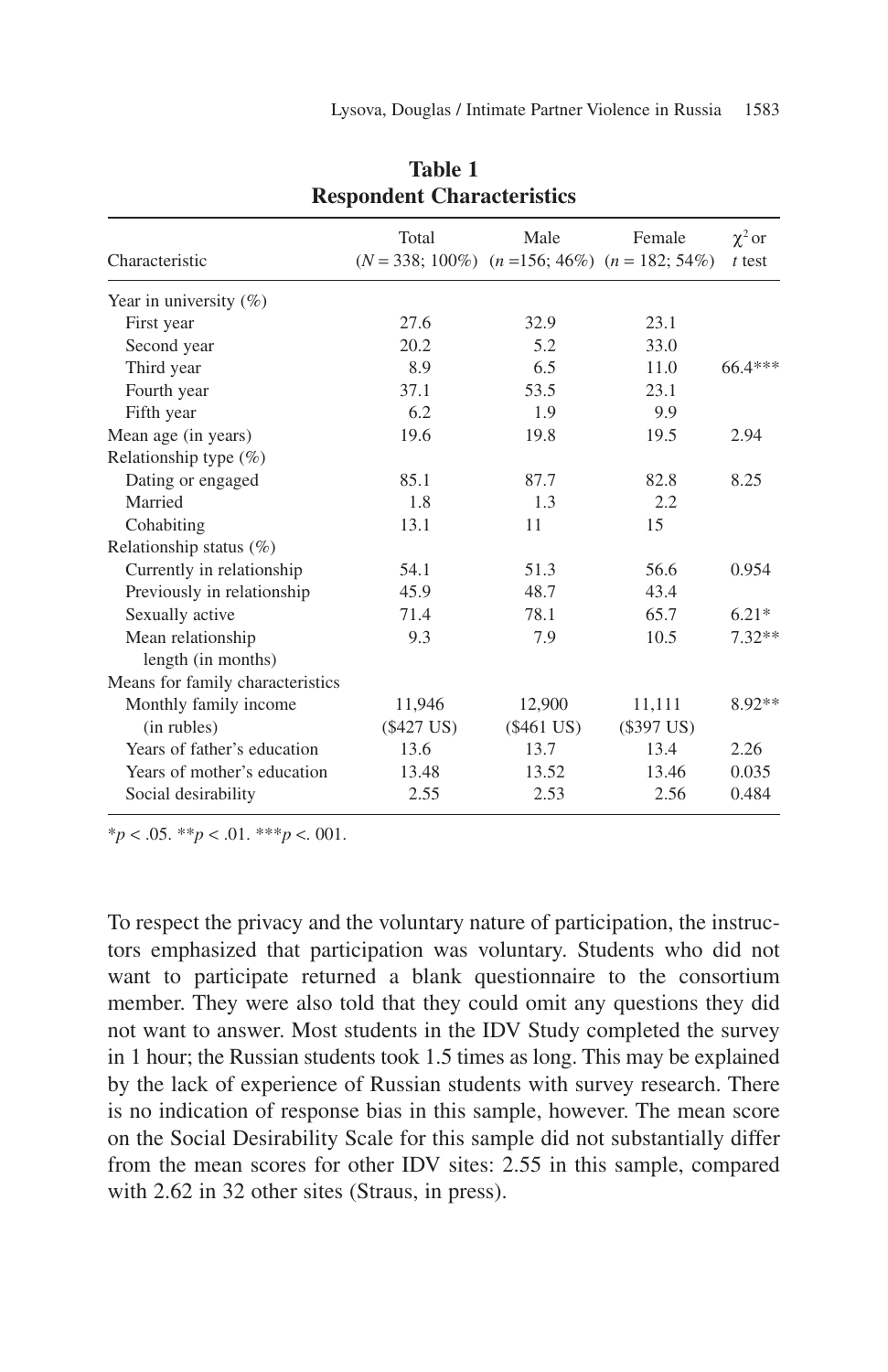| Characteristic                   | Total<br>$(N = 338; 100\%)$ $(n = 156; 46\%)$ $(n = 182; 54\%)$ | Male                | Female              | $\chi^2$ or<br>$t$ test |
|----------------------------------|-----------------------------------------------------------------|---------------------|---------------------|-------------------------|
| Year in university $(\%)$        |                                                                 |                     |                     |                         |
| First year                       | 27.6                                                            | 32.9                | 23.1                |                         |
| Second year                      | 20.2                                                            | 5.2                 | 33.0                |                         |
| Third year                       | 8.9                                                             | 6.5                 | 11.0                | 66.4***                 |
| Fourth year                      | 37.1                                                            | 53.5                | 23.1                |                         |
| Fifth year                       | 6.2                                                             | 1.9                 | 9.9                 |                         |
| Mean age (in years)              | 19.6                                                            | 19.8                | 19.5                | 2.94                    |
| Relationship type $(\%)$         |                                                                 |                     |                     |                         |
| Dating or engaged                | 85.1                                                            | 87.7                | 82.8                | 8.25                    |
| Married                          | 1.8                                                             | 1.3                 | 2.2                 |                         |
| Cohabiting                       | 13.1                                                            | 11                  | 15                  |                         |
| Relationship status (%)          |                                                                 |                     |                     |                         |
| Currently in relationship        | 54.1                                                            | 51.3                | 56.6                | 0.954                   |
| Previously in relationship       | 45.9                                                            | 48.7                | 43.4                |                         |
| Sexually active                  | 71.4                                                            | 78.1                | 65.7                | $6.21*$                 |
| Mean relationship                | 9.3                                                             | 7.9                 | 10.5                | $7.32**$                |
| length (in months)               |                                                                 |                     |                     |                         |
| Means for family characteristics |                                                                 |                     |                     |                         |
| Monthly family income            | 11,946                                                          | 12,900              | 11,111              | 8.92**                  |
| (in rubles)                      | $($427 \text{ US})$                                             | $($461 \text{ US})$ | $($397 \text{ US})$ |                         |
| Years of father's education      | 13.6                                                            | 13.7                | 13.4                | 2.26                    |
| Years of mother's education      | 13.48                                                           | 13.52               | 13.46               | 0.035                   |
| Social desirability              | 2.55                                                            | 2.53                | 2.56                | 0.484                   |
|                                  |                                                                 |                     |                     |                         |

**Table 1 Respondent Characteristics**

 $**p* < .05. **p* < .01. **p* < .001.$ 

To respect the privacy and the voluntary nature of participation, the instructors emphasized that participation was voluntary. Students who did not want to participate returned a blank questionnaire to the consortium member. They were also told that they could omit any questions they did not want to answer. Most students in the IDV Study completed the survey in 1 hour; the Russian students took 1.5 times as long. This may be explained by the lack of experience of Russian students with survey research. There is no indication of response bias in this sample, however. The mean score on the Social Desirability Scale for this sample did not substantially differ from the mean scores for other IDV sites: 2.55 in this sample, compared with 2.62 in 32 other sites (Straus, in press).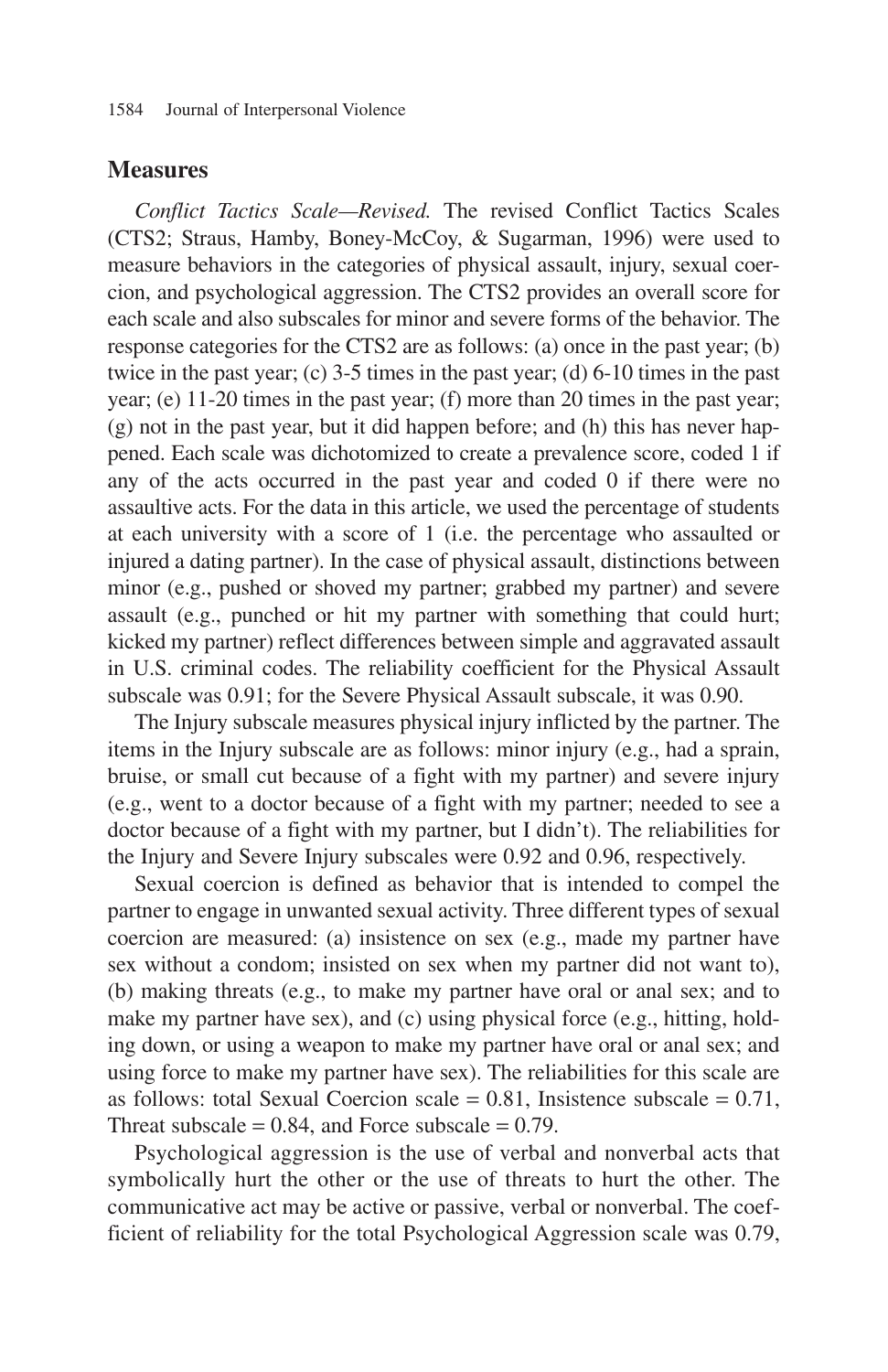#### **Measures**

*Conflict Tactics Scale—Revised.* The revised Conflict Tactics Scales (CTS2; Straus, Hamby, Boney-McCoy, & Sugarman, 1996) were used to measure behaviors in the categories of physical assault, injury, sexual coercion, and psychological aggression. The CTS2 provides an overall score for each scale and also subscales for minor and severe forms of the behavior. The response categories for the CTS2 are as follows: (a) once in the past year; (b) twice in the past year; (c) 3-5 times in the past year; (d) 6-10 times in the past year; (e) 11-20 times in the past year; (f) more than 20 times in the past year; (g) not in the past year, but it did happen before; and (h) this has never happened. Each scale was dichotomized to create a prevalence score, coded 1 if any of the acts occurred in the past year and coded 0 if there were no assaultive acts. For the data in this article, we used the percentage of students at each university with a score of 1 (i.e. the percentage who assaulted or injured a dating partner). In the case of physical assault, distinctions between minor (e.g., pushed or shoved my partner; grabbed my partner) and severe assault (e.g., punched or hit my partner with something that could hurt; kicked my partner) reflect differences between simple and aggravated assault in U.S. criminal codes. The reliability coefficient for the Physical Assault subscale was 0.91; for the Severe Physical Assault subscale, it was 0.90.

The Injury subscale measures physical injury inflicted by the partner. The items in the Injury subscale are as follows: minor injury (e.g., had a sprain, bruise, or small cut because of a fight with my partner) and severe injury (e.g., went to a doctor because of a fight with my partner; needed to see a doctor because of a fight with my partner, but I didn't). The reliabilities for the Injury and Severe Injury subscales were 0.92 and 0.96, respectively.

Sexual coercion is defined as behavior that is intended to compel the partner to engage in unwanted sexual activity. Three different types of sexual coercion are measured: (a) insistence on sex (e.g., made my partner have sex without a condom; insisted on sex when my partner did not want to), (b) making threats (e.g., to make my partner have oral or anal sex; and to make my partner have sex), and (c) using physical force (e.g., hitting, holding down, or using a weapon to make my partner have oral or anal sex; and using force to make my partner have sex). The reliabilities for this scale are as follows: total Sexual Coercion scale  $= 0.81$ , Insistence subscale  $= 0.71$ , Threat subscale  $= 0.84$ , and Force subscale  $= 0.79$ .

Psychological aggression is the use of verbal and nonverbal acts that symbolically hurt the other or the use of threats to hurt the other. The communicative act may be active or passive, verbal or nonverbal. The coefficient of reliability for the total Psychological Aggression scale was 0.79,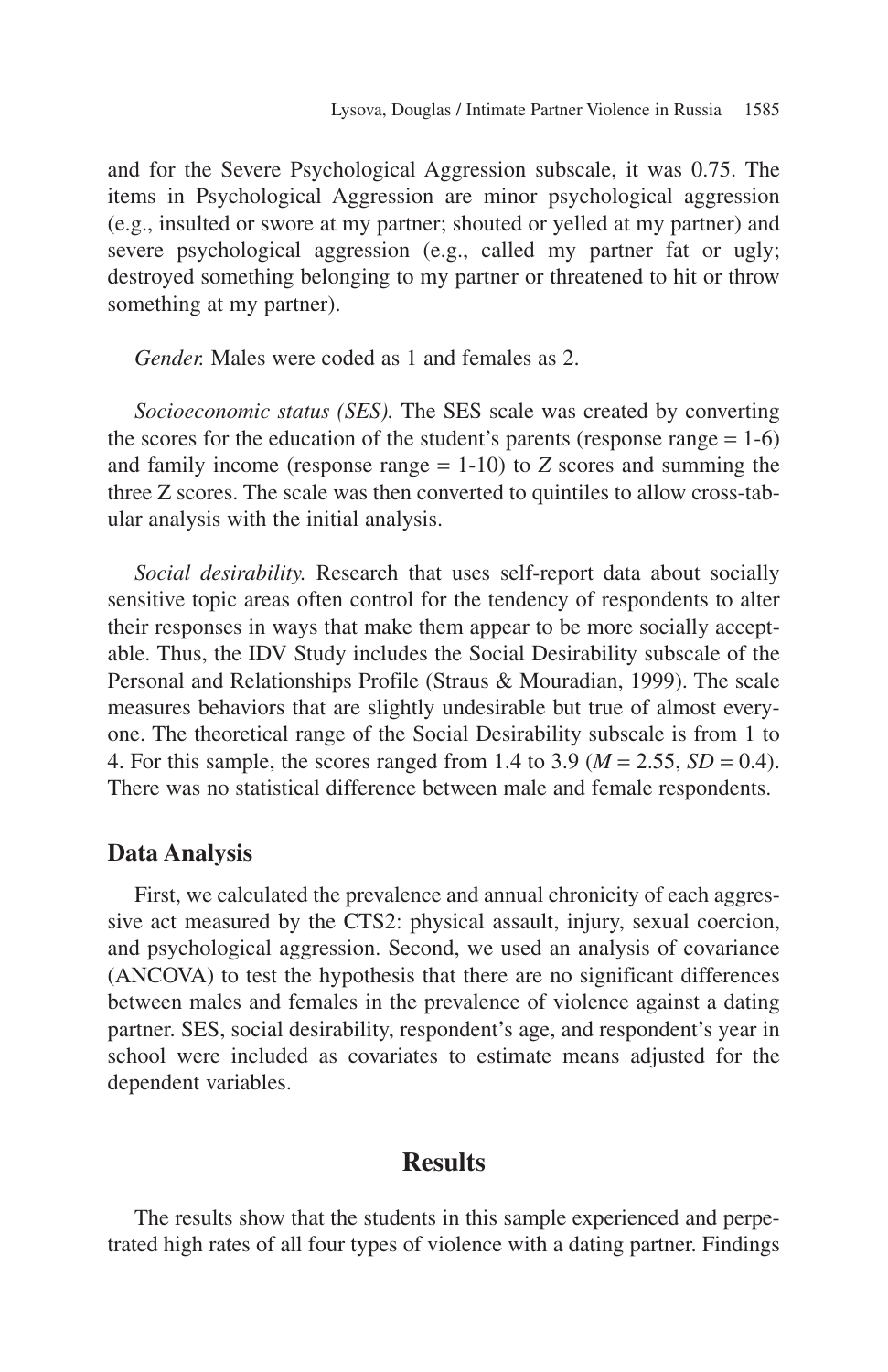and for the Severe Psychological Aggression subscale, it was 0.75. The items in Psychological Aggression are minor psychological aggression (e.g., insulted or swore at my partner; shouted or yelled at my partner) and severe psychological aggression (e.g., called my partner fat or ugly; destroyed something belonging to my partner or threatened to hit or throw something at my partner).

*Gender.* Males were coded as 1 and females as 2.

*Socioeconomic status (SES).* The SES scale was created by converting the scores for the education of the student's parents (response range  $= 1-6$ ) and family income (response range = 1-10) to *Z* scores and summing the three Z scores. The scale was then converted to quintiles to allow cross-tabular analysis with the initial analysis.

*Social desirability.* Research that uses self-report data about socially sensitive topic areas often control for the tendency of respondents to alter their responses in ways that make them appear to be more socially acceptable. Thus, the IDV Study includes the Social Desirability subscale of the Personal and Relationships Profile (Straus & Mouradian, 1999). The scale measures behaviors that are slightly undesirable but true of almost everyone. The theoretical range of the Social Desirability subscale is from 1 to 4. For this sample, the scores ranged from 1.4 to 3.9 ( $M = 2.55$ ,  $SD = 0.4$ ). There was no statistical difference between male and female respondents.

#### **Data Analysis**

First, we calculated the prevalence and annual chronicity of each aggressive act measured by the CTS2: physical assault, injury, sexual coercion, and psychological aggression. Second, we used an analysis of covariance (ANCOVA) to test the hypothesis that there are no significant differences between males and females in the prevalence of violence against a dating partner. SES, social desirability, respondent's age, and respondent's year in school were included as covariates to estimate means adjusted for the dependent variables.

## **Results**

The results show that the students in this sample experienced and perpetrated high rates of all four types of violence with a dating partner. Findings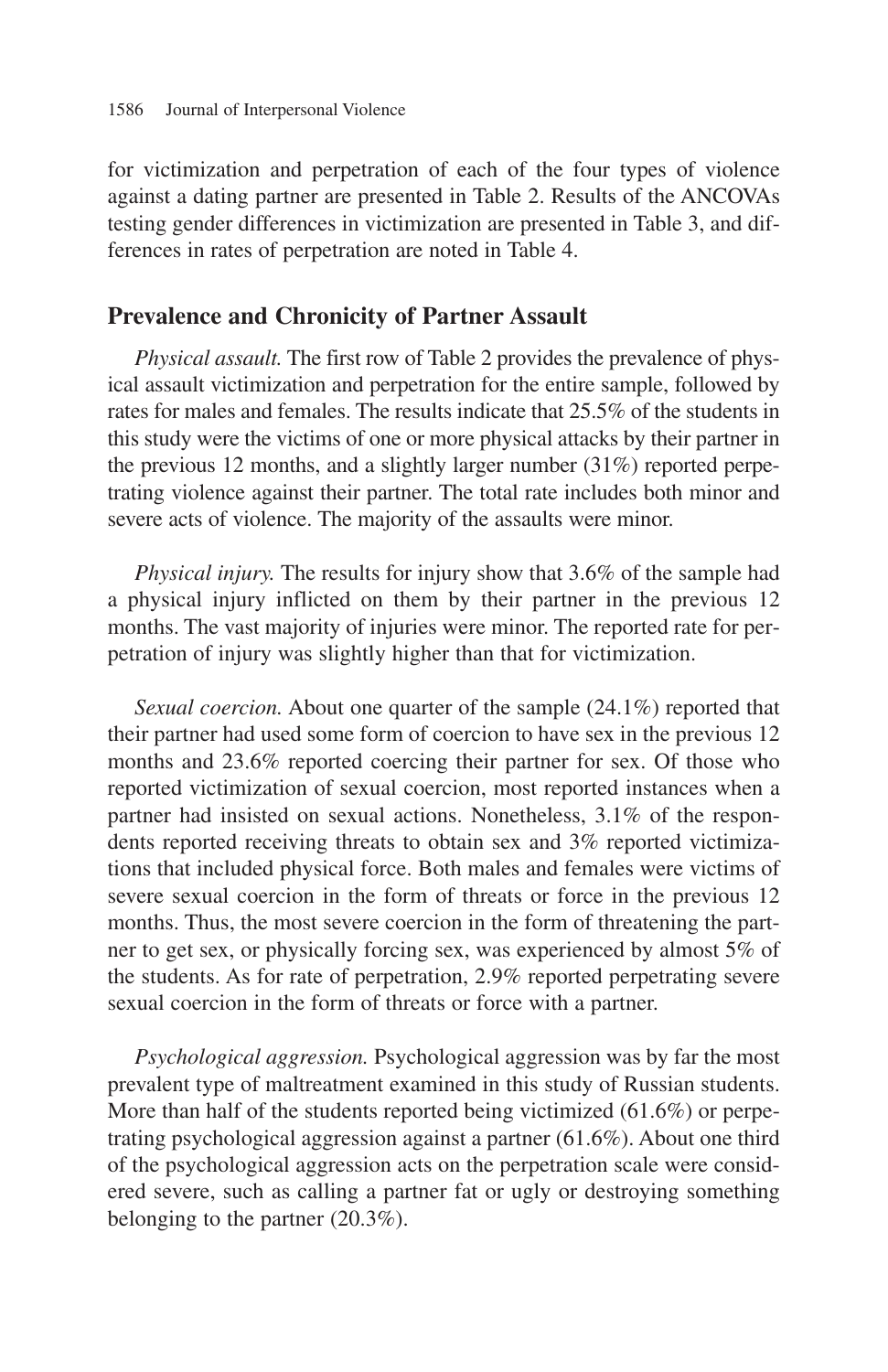for victimization and perpetration of each of the four types of violence against a dating partner are presented in Table 2. Results of the ANCOVAs testing gender differences in victimization are presented in Table 3, and differences in rates of perpetration are noted in Table 4.

### **Prevalence and Chronicity of Partner Assault**

*Physical assault.* The first row of Table 2 provides the prevalence of physical assault victimization and perpetration for the entire sample, followed by rates for males and females. The results indicate that 25.5% of the students in this study were the victims of one or more physical attacks by their partner in the previous 12 months, and a slightly larger number (31%) reported perpetrating violence against their partner. The total rate includes both minor and severe acts of violence. The majority of the assaults were minor.

*Physical injury.* The results for injury show that 3.6% of the sample had a physical injury inflicted on them by their partner in the previous 12 months. The vast majority of injuries were minor. The reported rate for perpetration of injury was slightly higher than that for victimization.

*Sexual coercion.* About one quarter of the sample (24.1%) reported that their partner had used some form of coercion to have sex in the previous 12 months and 23.6% reported coercing their partner for sex. Of those who reported victimization of sexual coercion, most reported instances when a partner had insisted on sexual actions. Nonetheless, 3.1% of the respondents reported receiving threats to obtain sex and 3% reported victimizations that included physical force. Both males and females were victims of severe sexual coercion in the form of threats or force in the previous 12 months. Thus, the most severe coercion in the form of threatening the partner to get sex, or physically forcing sex, was experienced by almost 5% of the students. As for rate of perpetration, 2.9% reported perpetrating severe sexual coercion in the form of threats or force with a partner.

*Psychological aggression.* Psychological aggression was by far the most prevalent type of maltreatment examined in this study of Russian students. More than half of the students reported being victimized (61.6%) or perpetrating psychological aggression against a partner (61.6%). About one third of the psychological aggression acts on the perpetration scale were considered severe, such as calling a partner fat or ugly or destroying something belonging to the partner (20.3%).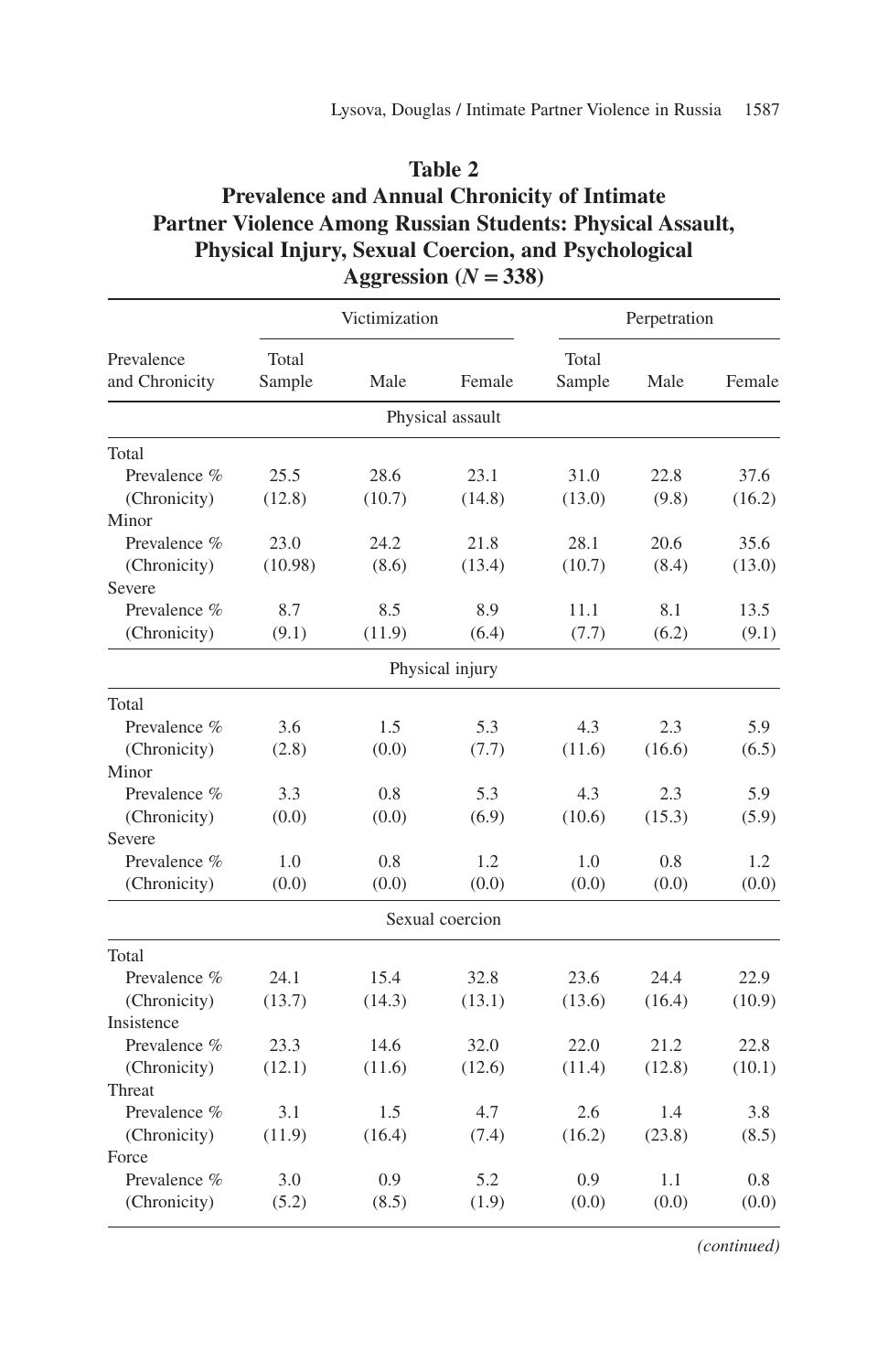## **Table 2**

## **Prevalence and Annual Chronicity of Intimate Partner Violence Among Russian Students: Physical Assault, Physical Injury, Sexual Coercion, and Psychological** Aggression  $(N = 338)$

|                              |                 | Victimization |                  |                 | Perpetration |        |
|------------------------------|-----------------|---------------|------------------|-----------------|--------------|--------|
| Prevalence<br>and Chronicity | Total<br>Sample | Male          | Female           | Total<br>Sample | Male         | Female |
|                              |                 |               | Physical assault |                 |              |        |
| Total                        |                 |               |                  |                 |              |        |
| Prevalence %                 | 25.5            | 28.6          | 23.1             | 31.0            | 22.8         | 37.6   |
| (Chronicity)                 | (12.8)          | (10.7)        | (14.8)           | (13.0)          | (9.8)        | (16.2) |
| Minor                        |                 |               |                  |                 |              |        |
| Prevalence %                 | 23.0            | 24.2          | 21.8             | 28.1            | 20.6         | 35.6   |
| (Chronicity)                 | (10.98)         | (8.6)         | (13.4)           | (10.7)          | (8.4)        | (13.0) |
| Severe                       |                 |               |                  |                 |              |        |
| Prevalence %                 | 8.7             | 8.5           | 8.9              | 11.1            | 8.1          | 13.5   |
| (Chronicity)                 | (9.1)           | (11.9)        | (6.4)            | (7.7)           | (6.2)        | (9.1)  |
|                              |                 |               | Physical injury  |                 |              |        |
| Total                        |                 |               |                  |                 |              |        |
| Prevalence %                 | 3.6             | 1.5           | 5.3              | 4.3             | 2.3          | 5.9    |
| (Chronicity)                 | (2.8)           | (0.0)         | (7.7)            | (11.6)          | (16.6)       | (6.5)  |
| Minor                        |                 |               |                  |                 |              |        |
| Prevalence %                 | 3.3             | 0.8           | 5.3              | 4.3             | 2.3          | 5.9    |
| (Chronicity)                 | (0.0)           | (0.0)         | (6.9)            | (10.6)          | (15.3)       | (5.9)  |
| Severe                       |                 |               |                  |                 |              |        |
| Prevalence %                 | 1.0             | 0.8           | 1.2              | 1.0             | 0.8          | 1.2    |
| (Chronicity)                 | (0.0)           | (0.0)         | (0.0)            | (0.0)           | (0.0)        | (0.0)  |
|                              |                 |               | Sexual coercion  |                 |              |        |
| Total                        |                 |               |                  |                 |              |        |
| Prevalence %                 | 24.1            | 15.4          | 32.8             | 23.6            | 24.4         | 22.9   |
| (Chronicity)                 | (13.7)          | (14.3)        | (13.1)           | (13.6)          | (16.4)       | (10.9) |
| Insistence                   |                 |               |                  |                 |              |        |
| Prevalence %                 | 23.3            | 14.6          | 32.0             | 22.0            | 21.2         | 22.8   |
| (Chronicity)                 | (12.1)          | (11.6)        | (12.6)           | (11.4)          | (12.8)       | (10.1) |
| Threat                       |                 |               |                  |                 |              |        |
| Prevalence %                 | 3.1             | 1.5           | 4.7              | 2.6             | 1.4          | 3.8    |
| (Chronicity)                 | (11.9)          | (16.4)        | (7.4)            | (16.2)          | (23.8)       | (8.5)  |
| Force                        |                 |               |                  |                 |              |        |
| Prevalence %                 | 3.0             | 0.9           | 5.2              | 0.9             | 1.1          | 0.8    |
| (Chronicity)                 | (5.2)           | (8.5)         | (1.9)            | (0.0)           | (0.0)        | (0.0)  |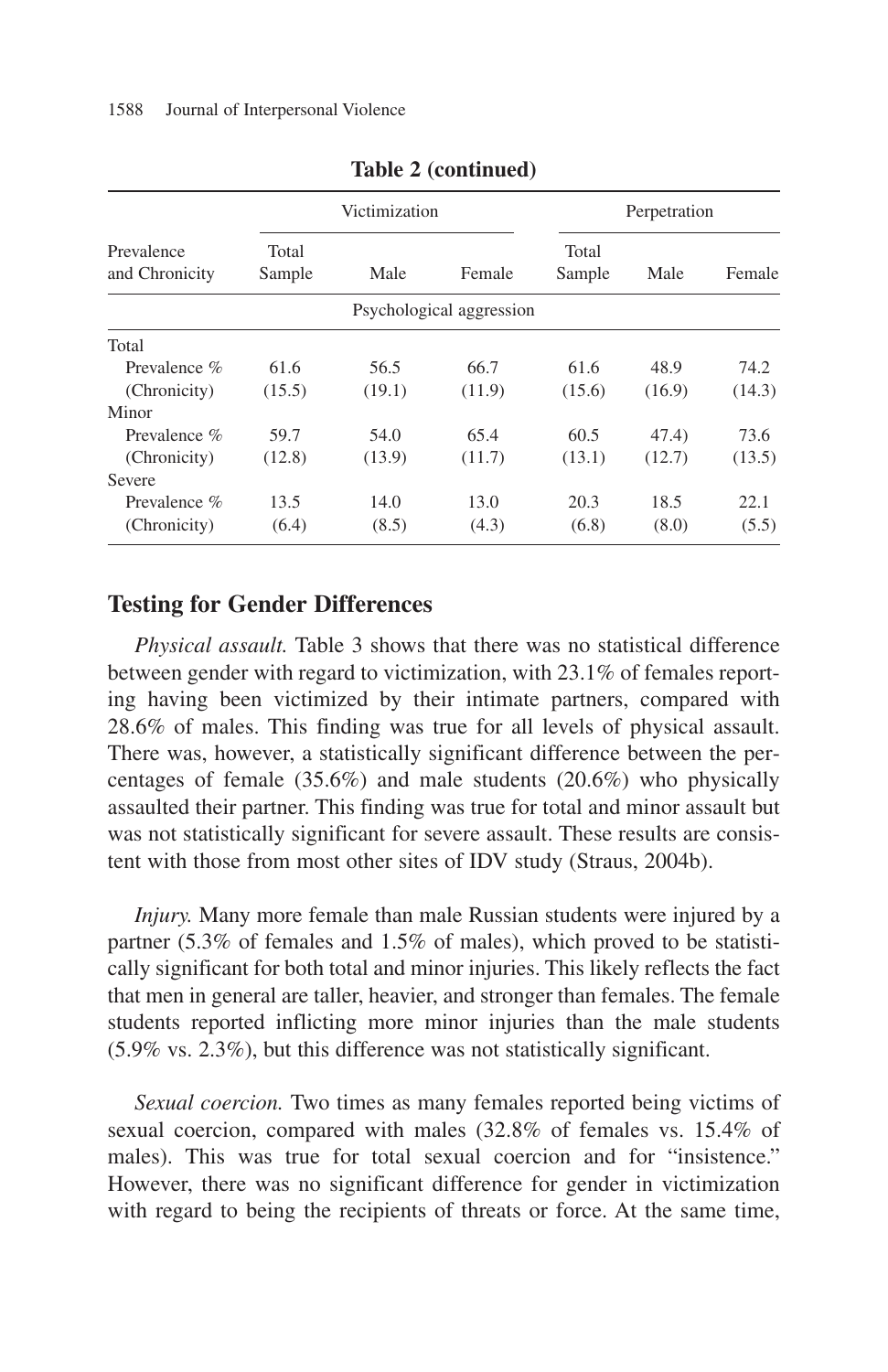|                              |                 | Victimization |                          |                 | Perpetration |        |
|------------------------------|-----------------|---------------|--------------------------|-----------------|--------------|--------|
| Prevalence<br>and Chronicity | Total<br>Sample | Male          | Female                   | Total<br>Sample | Male         | Female |
|                              |                 |               | Psychological aggression |                 |              |        |
| Total                        |                 |               |                          |                 |              |        |
| Prevalence %                 | 61.6            | 56.5          | 66.7                     | 61.6            | 48.9         | 74.2   |
| (Chronicity)                 | (15.5)          | (19.1)        | (11.9)                   | (15.6)          | (16.9)       | (14.3) |
| Minor                        |                 |               |                          |                 |              |        |
| Prevalence %                 | 59.7            | 54.0          | 65.4                     | 60.5            | 47.4)        | 73.6   |
| (Chronicity)                 | (12.8)          | (13.9)        | (11.7)                   | (13.1)          | (12.7)       | (13.5) |
| Severe                       |                 |               |                          |                 |              |        |
| Prevalence %                 | 13.5            | 14.0          | 13.0                     | 20.3            | 18.5         | 22.1   |
| (Chronicity)                 | (6.4)           | (8.5)         | (4.3)                    | (6.8)           | (8.0)        | (5.5)  |

**Table 2 (continued)**

#### **Testing for Gender Differences**

*Physical assault.* Table 3 shows that there was no statistical difference between gender with regard to victimization, with 23.1% of females reporting having been victimized by their intimate partners, compared with 28.6% of males. This finding was true for all levels of physical assault. There was, however, a statistically significant difference between the percentages of female (35.6%) and male students (20.6%) who physically assaulted their partner. This finding was true for total and minor assault but was not statistically significant for severe assault. These results are consistent with those from most other sites of IDV study (Straus, 2004b).

*Injury.* Many more female than male Russian students were injured by a partner (5.3% of females and 1.5% of males), which proved to be statistically significant for both total and minor injuries. This likely reflects the fact that men in general are taller, heavier, and stronger than females. The female students reported inflicting more minor injuries than the male students (5.9% vs. 2.3%), but this difference was not statistically significant.

*Sexual coercion.* Two times as many females reported being victims of sexual coercion, compared with males (32.8% of females vs. 15.4% of males). This was true for total sexual coercion and for "insistence." However, there was no significant difference for gender in victimization with regard to being the recipients of threats or force. At the same time,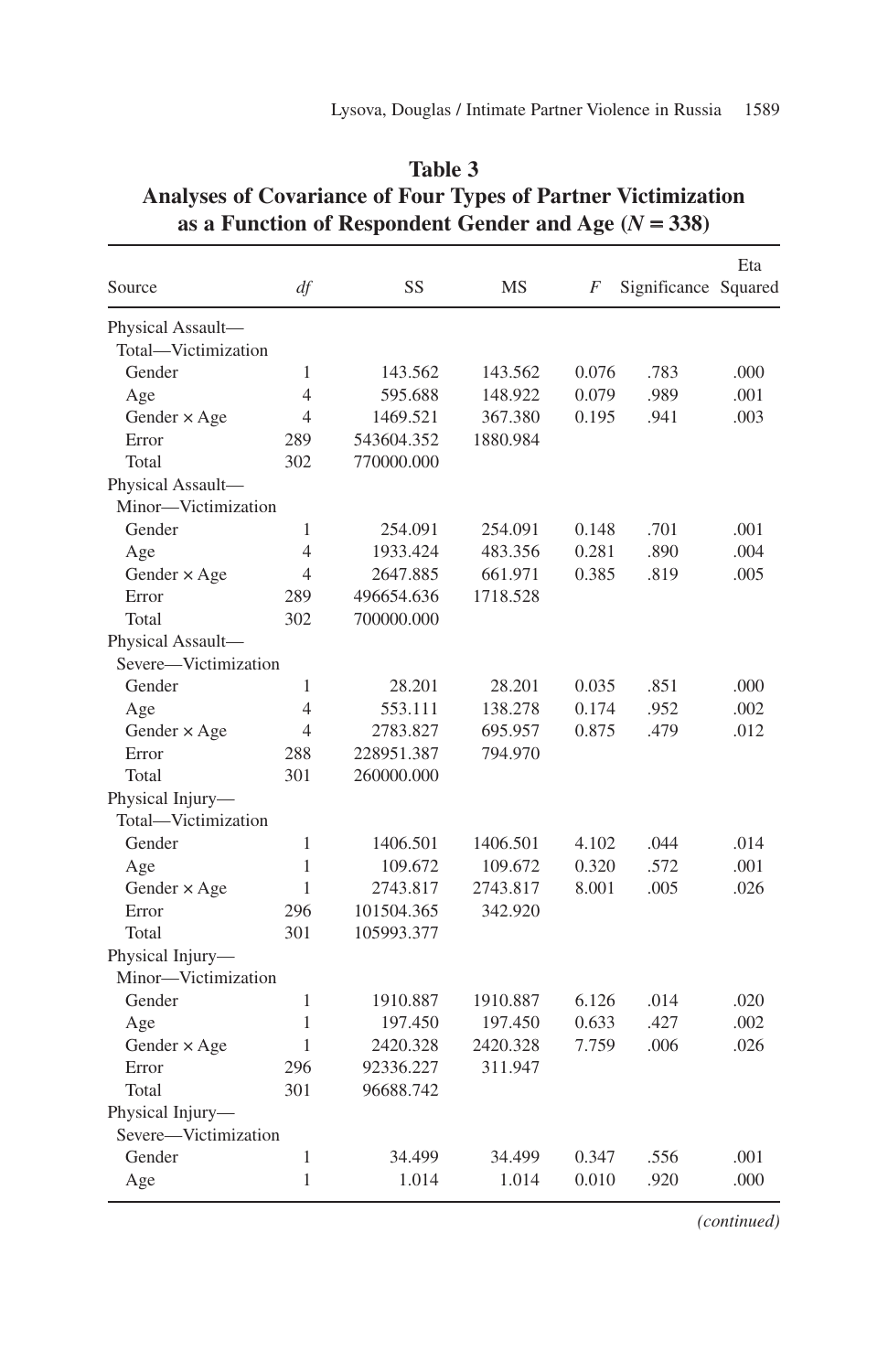| Source               | df             | SS         | MS       | F     | Significance Squared | Eta  |
|----------------------|----------------|------------|----------|-------|----------------------|------|
| Physical Assault-    |                |            |          |       |                      |      |
| Total-Victimization  |                |            |          |       |                      |      |
| Gender               | 1              | 143.562    | 143.562  | 0.076 | .783                 | .000 |
| Age                  | $\overline{4}$ | 595.688    | 148.922  | 0.079 | .989                 | .001 |
| Gender $\times$ Age  | $\overline{4}$ | 1469.521   | 367.380  | 0.195 | .941                 | .003 |
| Error                | 289            | 543604.352 | 1880.984 |       |                      |      |
| Total                | 302            | 770000.000 |          |       |                      |      |
| Physical Assault-    |                |            |          |       |                      |      |
| Minor-Victimization  |                |            |          |       |                      |      |
| Gender               | $\mathbf{1}$   | 254.091    | 254.091  | 0.148 | .701                 | .001 |
| Age                  | $\overline{4}$ | 1933.424   | 483.356  | 0.281 | .890                 | .004 |
| Gender $\times$ Age  | $\overline{4}$ | 2647.885   | 661.971  | 0.385 | .819                 | .005 |
| Error                | 289            | 496654.636 | 1718.528 |       |                      |      |
| Total                | 302            | 700000.000 |          |       |                      |      |
| Physical Assault-    |                |            |          |       |                      |      |
| Severe-Victimization |                |            |          |       |                      |      |
| Gender               | 1              | 28.201     | 28.201   | 0.035 | .851                 | .000 |
| Age                  | $\overline{4}$ | 553.111    | 138.278  | 0.174 | .952                 | .002 |
| Gender $\times$ Age  | $\overline{4}$ | 2783.827   | 695.957  | 0.875 | .479                 | .012 |
| Error                | 288            | 228951.387 | 794.970  |       |                      |      |
| Total                | 301            | 260000.000 |          |       |                      |      |
| Physical Injury-     |                |            |          |       |                      |      |
| Total—Victimization  |                |            |          |       |                      |      |
| Gender               | 1              | 1406.501   | 1406.501 | 4.102 | .044                 | .014 |
| Age                  | 1              | 109.672    | 109.672  | 0.320 | .572                 | .001 |
| Gender $\times$ Age  | 1              | 2743.817   | 2743.817 | 8.001 | .005                 | .026 |
| Error                | 296            | 101504.365 | 342.920  |       |                      |      |
| Total                | 301            | 105993.377 |          |       |                      |      |
| Physical Injury-     |                |            |          |       |                      |      |
| Minor-Victimization  |                |            |          |       |                      |      |
| Gender               | 1              | 1910.887   | 1910.887 | 6.126 | .014                 | .020 |
| Age                  | 1              | 197.450    | 197.450  | 0.633 | .427                 | .002 |
| Gender $\times$ Age  | 1              | 2420.328   | 2420.328 | 7.759 | .006                 | .026 |
| Error                | 296            | 92336.227  | 311.947  |       |                      |      |
| Total                | 301            | 96688.742  |          |       |                      |      |
| Physical Injury-     |                |            |          |       |                      |      |
| Severe-Victimization |                |            |          |       |                      |      |
| Gender               | 1              | 34.499     | 34.499   | 0.347 | .556                 | .001 |
| Age                  | 1              | 1.014      | 1.014    | 0.010 | .920                 | .000 |

# **Table 3 Analyses of Covariance of Four Types of Partner Victimization as a Function of Respondent Gender and Age (***N* = **338)**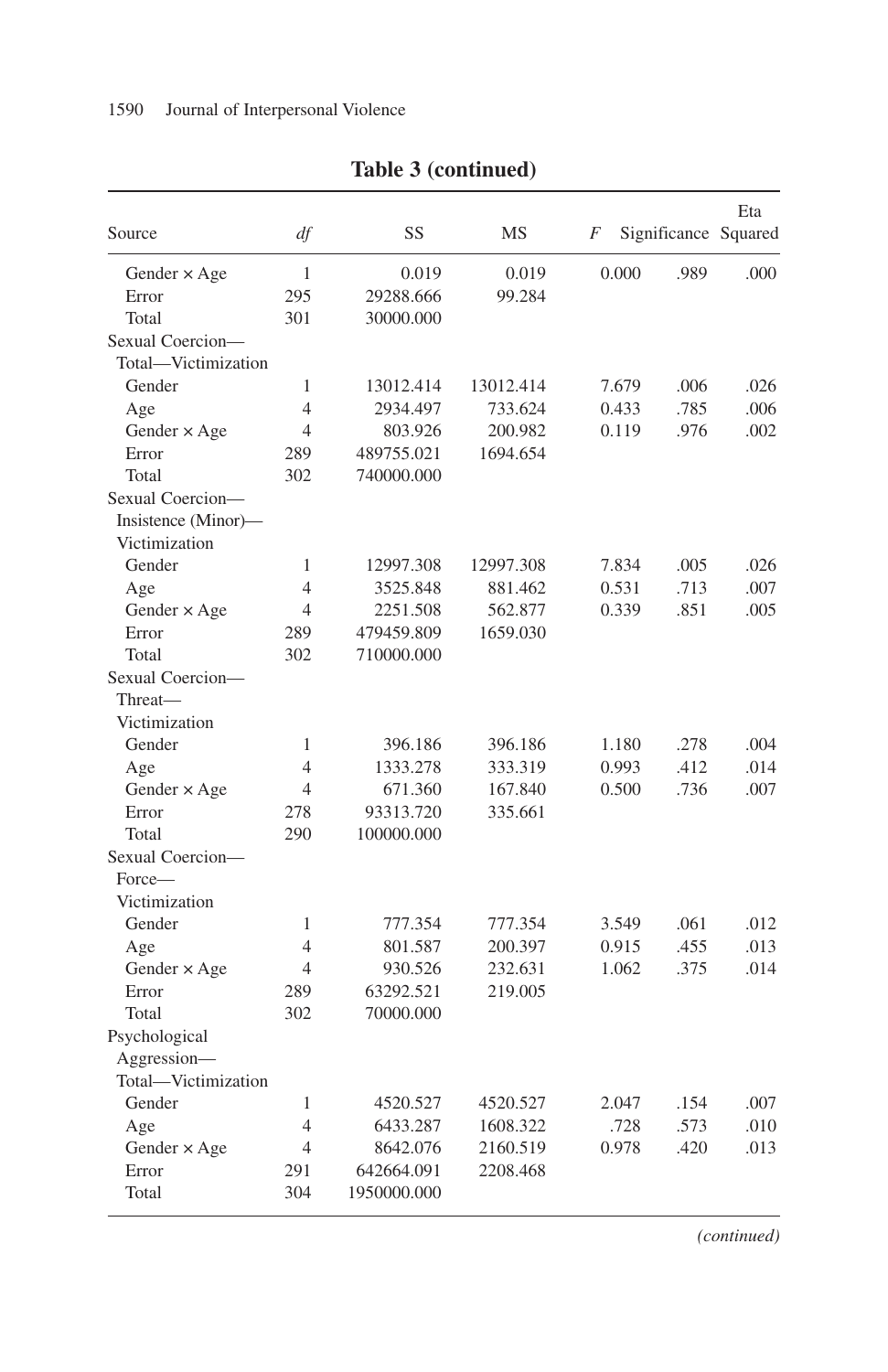| Source                                                   | df             | SS          | MS        | F             | Eta<br>Significance Squared |
|----------------------------------------------------------|----------------|-------------|-----------|---------------|-----------------------------|
| Gender $\times$ Age                                      | 1              | 0.019       | 0.019     | 0.000<br>.989 | .000                        |
| Error                                                    | 295            | 29288.666   | 99.284    |               |                             |
| Total                                                    | 301            | 30000.000   |           |               |                             |
| Sexual Coercion-                                         |                |             |           |               |                             |
| Total-Victimization                                      |                |             |           |               |                             |
| Gender                                                   | $\mathbf{1}$   | 13012.414   | 13012.414 | 7.679<br>.006 | .026                        |
| Age                                                      | $\overline{4}$ | 2934.497    | 733.624   | .785<br>0.433 | .006                        |
| Gender $\times$ Age                                      | 4              | 803.926     | 200.982   | .976<br>0.119 | .002                        |
| Error                                                    | 289            | 489755.021  | 1694.654  |               |                             |
| Total                                                    | 302            | 740000.000  |           |               |                             |
| Sexual Coercion-<br>Insistence (Minor)-<br>Victimization |                |             |           |               |                             |
| Gender                                                   | 1              | 12997.308   | 12997.308 | 7.834<br>.005 | .026                        |
| Age                                                      | $\overline{4}$ | 3525.848    | 881.462   | .713<br>0.531 | .007                        |
| Gender $\times$ Age                                      | 4              | 2251.508    | 562.877   | .851<br>0.339 | .005                        |
| Error                                                    | 289            | 479459.809  | 1659.030  |               |                             |
| Total                                                    | 302            | 710000.000  |           |               |                             |
| Sexual Coercion-<br>Threat-<br>Victimization             |                |             |           |               |                             |
| Gender                                                   | 1              | 396.186     | 396.186   | 1.180<br>.278 | .004                        |
| Age                                                      | $\overline{4}$ | 1333.278    | 333.319   | 0.993<br>.412 | .014                        |
| Gender $\times$ Age                                      | 4              | 671.360     | 167.840   | .736<br>0.500 | .007                        |
| Error                                                    | 278            | 93313.720   | 335.661   |               |                             |
| Total                                                    | 290            | 100000.000  |           |               |                             |
| Sexual Coercion-                                         |                |             |           |               |                             |
| Force-<br>Victimization                                  |                |             |           |               |                             |
| Gender                                                   | $\mathbf{1}$   | 777.354     | 777.354   | 3.549<br>.061 | .012                        |
| Age                                                      | 4              | 801.587     | 200.397   | .455<br>0.915 | .013                        |
| Gender $\times$ Age                                      | $\overline{4}$ | 930.526     | 232.631   | .375<br>1.062 | .014                        |
| Error                                                    | 289            | 63292.521   | 219.005   |               |                             |
| Total                                                    | 302            | 70000.000   |           |               |                             |
| Psychological                                            |                |             |           |               |                             |
| Aggression-                                              |                |             |           |               |                             |
| Total-Victimization                                      |                |             |           |               |                             |
| Gender                                                   | $\mathbf{1}$   | 4520.527    | 4520.527  | 2.047<br>.154 | .007                        |
| Age                                                      | $\overline{4}$ | 6433.287    | 1608.322  | .573<br>.728  | .010                        |
| Gender $\times$ Age                                      | $\overline{4}$ | 8642.076    | 2160.519  | 0.978<br>.420 | .013                        |
| Error                                                    | 291            | 642664.091  | 2208.468  |               |                             |
| Total                                                    | 304            | 1950000.000 |           |               |                             |

# **Table 3 (continued)**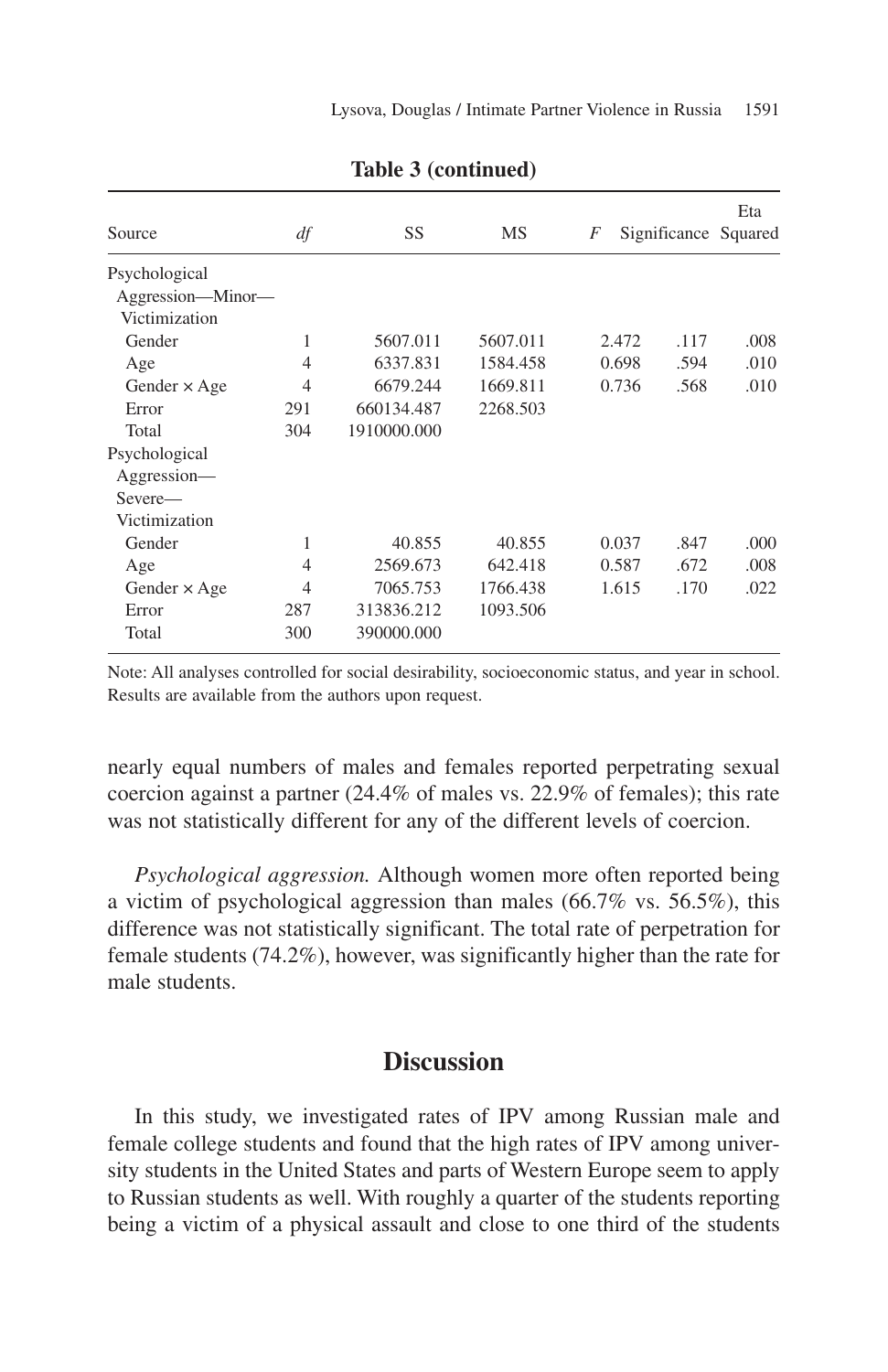| Source              | df             | SS          | <b>MS</b> | F     |      | Eta<br>Significance Squared |
|---------------------|----------------|-------------|-----------|-------|------|-----------------------------|
| Psychological       |                |             |           |       |      |                             |
| Aggression-Minor-   |                |             |           |       |      |                             |
| Victimization       |                |             |           |       |      |                             |
| Gender              | 1              | 5607.011    | 5607.011  | 2.472 | .117 | .008                        |
| Age                 | 4              | 6337.831    | 1584.458  | 0.698 | .594 | .010                        |
| Gender $\times$ Age | $\overline{4}$ | 6679.244    | 1669.811  | 0.736 | .568 | .010                        |
| Error               | 291            | 660134.487  | 2268.503  |       |      |                             |
| Total               | 304            | 1910000.000 |           |       |      |                             |
| Psychological       |                |             |           |       |      |                             |
| Aggression-         |                |             |           |       |      |                             |
| Severe-             |                |             |           |       |      |                             |
| Victimization       |                |             |           |       |      |                             |
| Gender              | 1              | 40.855      | 40.855    | 0.037 | .847 | .000                        |
| Age                 | 4              | 2569.673    | 642.418   | 0.587 | .672 | .008                        |
| Gender $\times$ Age | 4              | 7065.753    | 1766.438  | 1.615 | .170 | .022                        |
| Error               | 287            | 313836.212  | 1093.506  |       |      |                             |
| Total               | 300            | 390000.000  |           |       |      |                             |

**Table 3 (continued)**

Note: All analyses controlled for social desirability, socioeconomic status, and year in school. Results are available from the authors upon request.

nearly equal numbers of males and females reported perpetrating sexual coercion against a partner (24.4% of males vs. 22.9% of females); this rate was not statistically different for any of the different levels of coercion.

*Psychological aggression.* Although women more often reported being a victim of psychological aggression than males (66.7% vs. 56.5%), this difference was not statistically significant. The total rate of perpetration for female students (74.2%), however, was significantly higher than the rate for male students.

## **Discussion**

In this study, we investigated rates of IPV among Russian male and female college students and found that the high rates of IPV among university students in the United States and parts of Western Europe seem to apply to Russian students as well. With roughly a quarter of the students reporting being a victim of a physical assault and close to one third of the students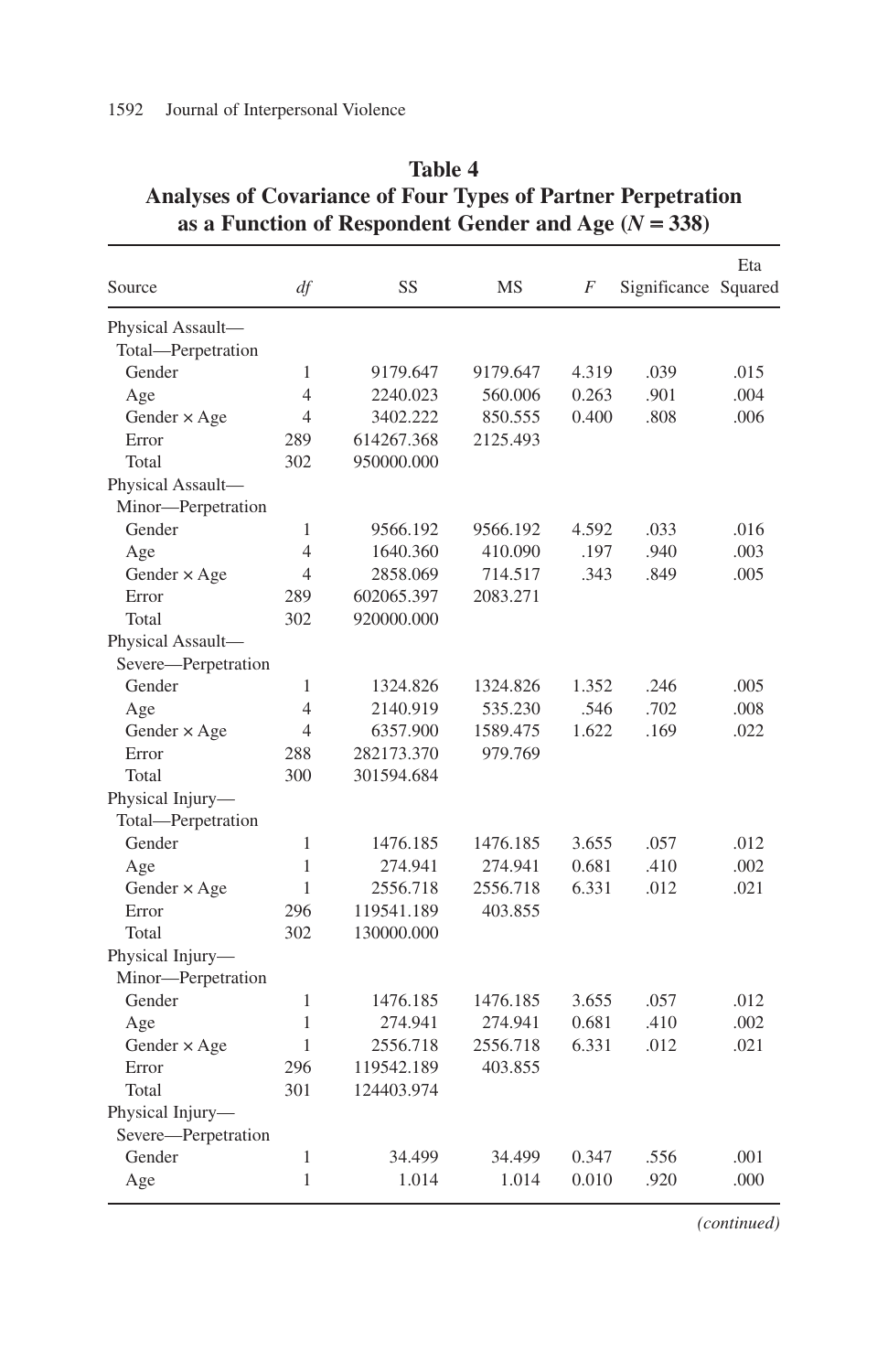| Source              | df             | SS         | MS       | F     | Significance Squared | Eta  |
|---------------------|----------------|------------|----------|-------|----------------------|------|
| Physical Assault-   |                |            |          |       |                      |      |
| Total-Perpetration  |                |            |          |       |                      |      |
| Gender              | 1              | 9179.647   | 9179.647 | 4.319 | .039                 | .015 |
| Age                 | $\overline{4}$ | 2240.023   | 560.006  | 0.263 | .901                 | .004 |
| Gender $\times$ Age | $\overline{4}$ | 3402.222   | 850.555  | 0.400 | .808                 | .006 |
| Error               | 289            | 614267.368 | 2125.493 |       |                      |      |
| Total               | 302            | 950000.000 |          |       |                      |      |
| Physical Assault-   |                |            |          |       |                      |      |
| Minor-Perpetration  |                |            |          |       |                      |      |
| Gender              | 1              | 9566.192   | 9566.192 | 4.592 | .033                 | .016 |
| Age                 | $\overline{4}$ | 1640.360   | 410.090  | .197  | .940                 | .003 |
| Gender $\times$ Age | 4              | 2858.069   | 714.517  | .343  | .849                 | .005 |
| Error               | 289            | 602065.397 | 2083.271 |       |                      |      |
| Total               | 302            | 920000.000 |          |       |                      |      |
| Physical Assault-   |                |            |          |       |                      |      |
| Severe-Perpetration |                |            |          |       |                      |      |
| Gender              | 1              | 1324.826   | 1324.826 | 1.352 | .246                 | .005 |
| Age                 | $\overline{4}$ | 2140.919   | 535.230  | .546  | .702                 | .008 |
| Gender $\times$ Age | $\overline{4}$ | 6357.900   | 1589.475 | 1.622 | .169                 | .022 |
| Error               | 288            | 282173.370 | 979.769  |       |                      |      |
| Total               | 300            | 301594.684 |          |       |                      |      |
| Physical Injury-    |                |            |          |       |                      |      |
| Total-Perpetration  |                |            |          |       |                      |      |
| Gender              | 1              | 1476.185   | 1476.185 | 3.655 | .057                 | .012 |
| Age                 | $\mathbf{1}$   | 274.941    | 274.941  | 0.681 | .410                 | .002 |
| Gender $\times$ Age | 1              | 2556.718   | 2556.718 | 6.331 | .012                 | .021 |
| Error               | 296            | 119541.189 | 403.855  |       |                      |      |
| Total               | 302            | 130000.000 |          |       |                      |      |
| Physical Injury-    |                |            |          |       |                      |      |
| Minor-Perpetration  |                |            |          |       |                      |      |
| Gender              | $\mathbf{1}$   | 1476.185   | 1476.185 | 3.655 | .057                 | .012 |
| Age                 | $\mathbf{1}$   | 274.941    | 274.941  | 0.681 | .410                 | .002 |
| Gender $\times$ Age | $\mathbf{1}$   | 2556.718   | 2556.718 | 6.331 | .012                 | .021 |
| Error               | 296            | 119542.189 | 403.855  |       |                      |      |
| Total               | 301            | 124403.974 |          |       |                      |      |
| Physical Injury-    |                |            |          |       |                      |      |
| Severe-Perpetration |                |            |          |       |                      |      |
| Gender              | 1              | 34.499     | 34.499   | 0.347 | .556                 | .001 |
| Age                 | 1              | 1.014      | 1.014    | 0.010 | .920                 | .000 |

# **Table 4 Analyses of Covariance of Four Types of Partner Perpetration** as a Function of Respondent Gender and Age  $(N = 338)$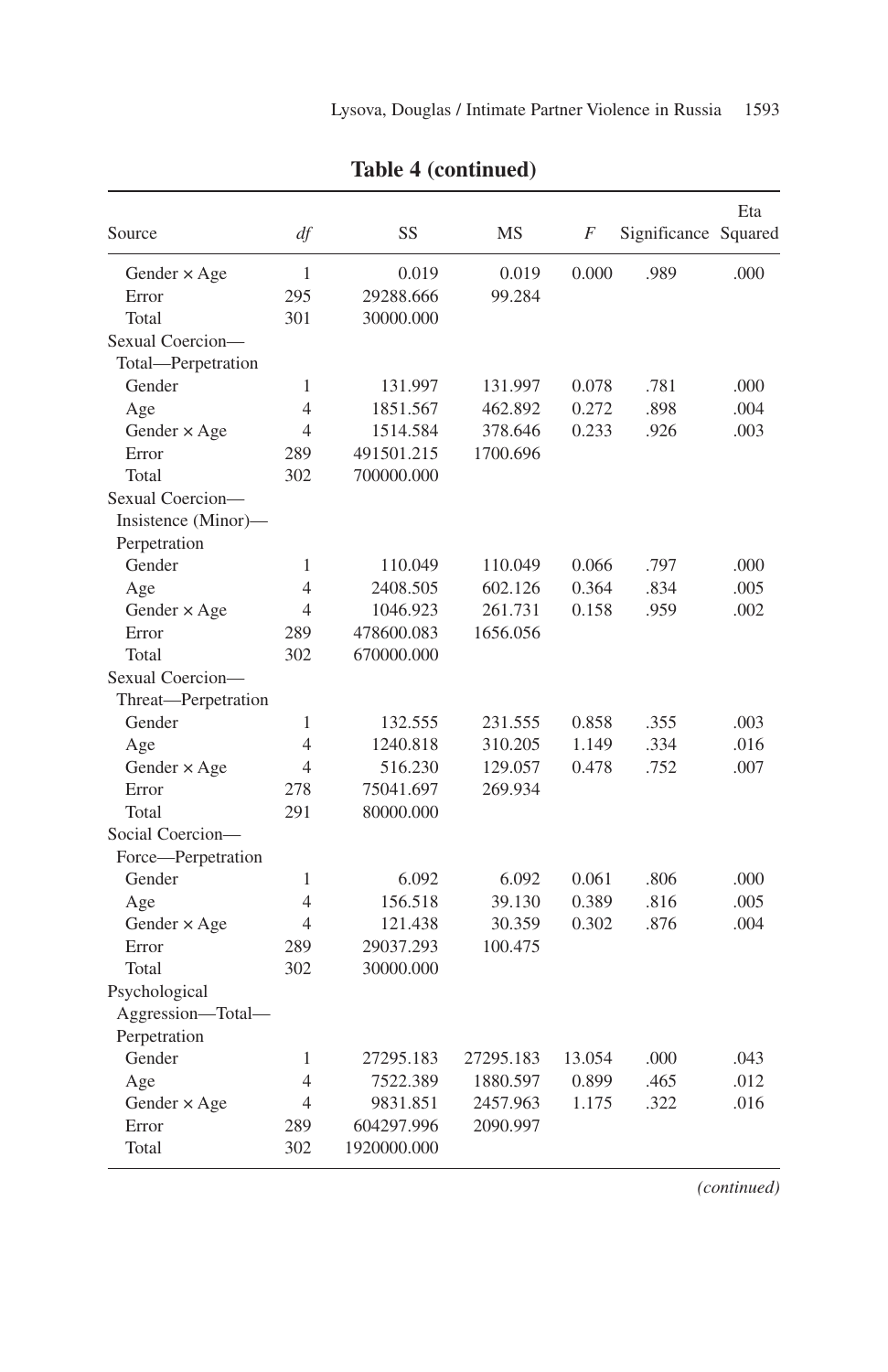| Source              | df             | SS          | <b>MS</b> | F      | Significance Squared | Eta  |
|---------------------|----------------|-------------|-----------|--------|----------------------|------|
| Gender $\times$ Age | $\mathbf{1}$   | 0.019       | 0.019     | 0.000  | .989                 | .000 |
| Error               | 295            | 29288.666   | 99.284    |        |                      |      |
| Total               | 301            | 30000.000   |           |        |                      |      |
| Sexual Coercion-    |                |             |           |        |                      |      |
| Total-Perpetration  |                |             |           |        |                      |      |
| Gender              | 1              | 131.997     | 131.997   | 0.078  | .781                 | .000 |
| Age                 | 4              | 1851.567    | 462.892   | 0.272  | .898                 | .004 |
| Gender $\times$ Age | $\overline{4}$ | 1514.584    | 378.646   | 0.233  | .926                 | .003 |
| Error               | 289            | 491501.215  | 1700.696  |        |                      |      |
| Total               | 302            | 700000.000  |           |        |                      |      |
| Sexual Coercion-    |                |             |           |        |                      |      |
| Insistence (Minor)- |                |             |           |        |                      |      |
| Perpetration        |                |             |           |        |                      |      |
| Gender              | 1              | 110.049     | 110.049   | 0.066  | .797                 | .000 |
| Age                 | 4              | 2408.505    | 602.126   | 0.364  | .834                 | .005 |
| Gender $\times$ Age | $\overline{4}$ | 1046.923    | 261.731   | 0.158  | .959                 | .002 |
| Error               | 289            | 478600.083  | 1656.056  |        |                      |      |
| Total               | 302            | 670000.000  |           |        |                      |      |
| Sexual Coercion-    |                |             |           |        |                      |      |
| Threat-Perpetration |                |             |           |        |                      |      |
| Gender              | 1              | 132.555     | 231.555   | 0.858  | .355                 | .003 |
| Age                 | $\overline{4}$ | 1240.818    | 310.205   | 1.149  | .334                 | .016 |
| Gender $\times$ Age | $\overline{4}$ | 516.230     | 129.057   | 0.478  | .752                 | .007 |
| Error               | 278            | 75041.697   | 269.934   |        |                      |      |
| Total               | 291            | 80000.000   |           |        |                      |      |
| Social Coercion-    |                |             |           |        |                      |      |
| Force-Perpetration  |                |             |           |        |                      |      |
| Gender              | 1              | 6.092       | 6.092     | 0.061  | .806                 | .000 |
| Age                 | 4              | 156.518     | 39.130    | 0.389  | .816                 | .005 |
| Gender $\times$ Age | $\overline{4}$ | 121.438     | 30.359    | 0.302  | .876                 | .004 |
| Error               | 289            | 29037.293   | 100.475   |        |                      |      |
| Total               | 302            | 30000.000   |           |        |                      |      |
| Psychological       |                |             |           |        |                      |      |
| Aggression-Total-   |                |             |           |        |                      |      |
| Perpetration        |                |             |           |        |                      |      |
| Gender              | $\mathbf{1}$   | 27295.183   | 27295.183 | 13.054 | .000                 | .043 |
| Age                 | $\overline{4}$ | 7522.389    | 1880.597  | 0.899  | .465                 | .012 |
| Gender $\times$ Age | $\overline{4}$ | 9831.851    | 2457.963  | 1.175  | .322                 | .016 |
| Error               | 289            | 604297.996  | 2090.997  |        |                      |      |
| Total               | 302            | 1920000.000 |           |        |                      |      |

# **Table 4 (continued)**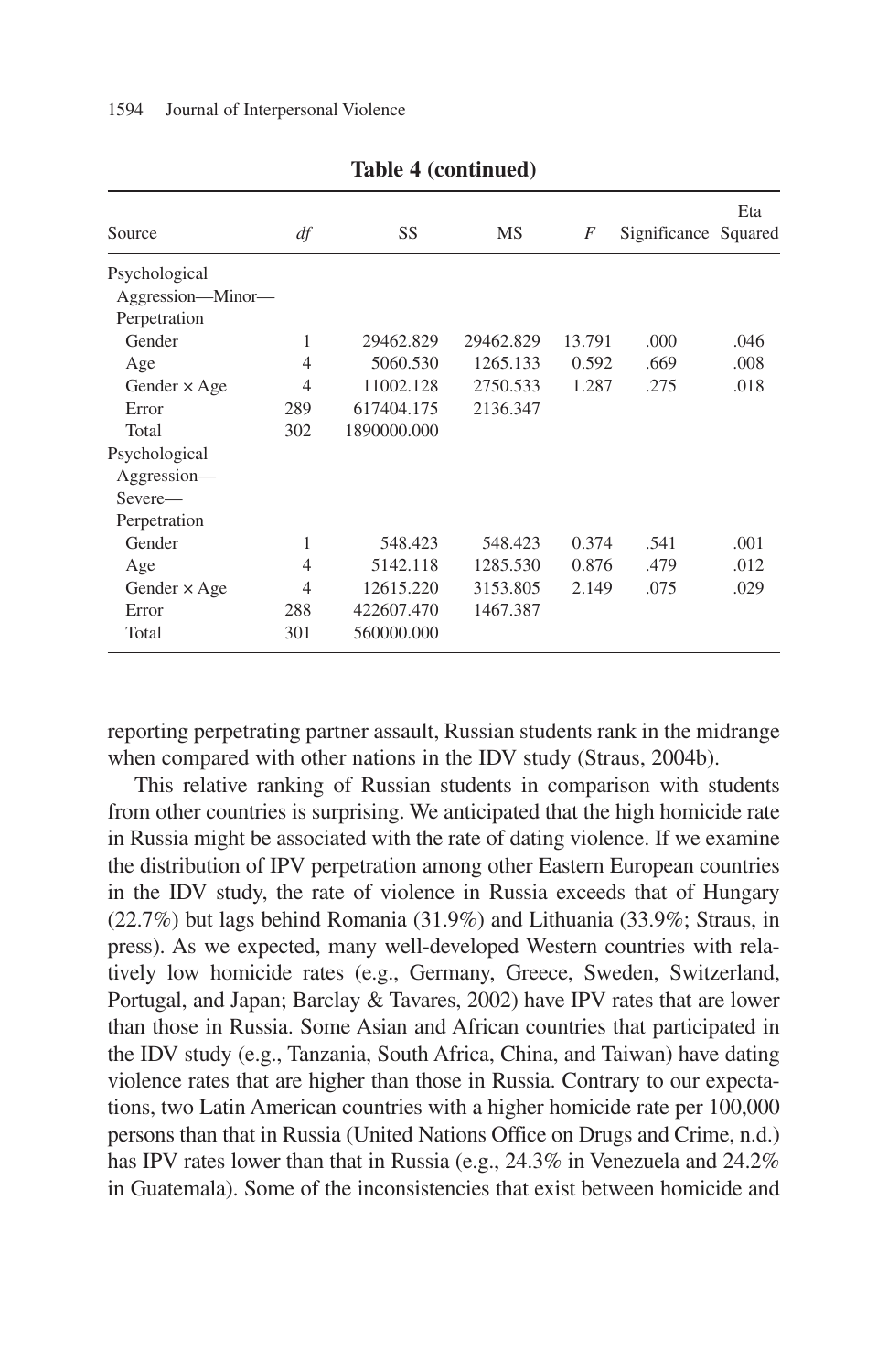| Source              | df             | SS          | MS        | F      | Significance Squared | Eta  |
|---------------------|----------------|-------------|-----------|--------|----------------------|------|
| Psychological       |                |             |           |        |                      |      |
| Aggression-Minor-   |                |             |           |        |                      |      |
| Perpetration        |                |             |           |        |                      |      |
| Gender              | 1              | 29462.829   | 29462.829 | 13.791 | .000                 | .046 |
| Age                 | 4              | 5060.530    | 1265.133  | 0.592  | .669                 | .008 |
| Gender $\times$ Age | $\overline{4}$ | 11002.128   | 2750.533  | 1.287  | .275                 | .018 |
| Error               | 289            | 617404.175  | 2136.347  |        |                      |      |
| Total               | 302            | 1890000.000 |           |        |                      |      |
| Psychological       |                |             |           |        |                      |      |
| Aggression-         |                |             |           |        |                      |      |
| Severe-             |                |             |           |        |                      |      |
| Perpetration        |                |             |           |        |                      |      |
| Gender              | 1              | 548.423     | 548.423   | 0.374  | .541                 | .001 |
| Age                 | $\overline{4}$ | 5142.118    | 1285.530  | 0.876  | .479                 | .012 |
| Gender $\times$ Age | $\overline{4}$ | 12615.220   | 3153.805  | 2.149  | .075                 | .029 |
| Error               | 288            | 422607.470  | 1467.387  |        |                      |      |
| Total               | 301            | 560000.000  |           |        |                      |      |

**Table 4 (continued)**

reporting perpetrating partner assault, Russian students rank in the midrange when compared with other nations in the IDV study (Straus, 2004b).

This relative ranking of Russian students in comparison with students from other countries is surprising. We anticipated that the high homicide rate in Russia might be associated with the rate of dating violence. If we examine the distribution of IPV perpetration among other Eastern European countries in the IDV study, the rate of violence in Russia exceeds that of Hungary (22.7%) but lags behind Romania (31.9%) and Lithuania (33.9%; Straus, in press). As we expected, many well-developed Western countries with relatively low homicide rates (e.g., Germany, Greece, Sweden, Switzerland, Portugal, and Japan; Barclay & Tavares, 2002) have IPV rates that are lower than those in Russia. Some Asian and African countries that participated in the IDV study (e.g., Tanzania, South Africa, China, and Taiwan) have dating violence rates that are higher than those in Russia. Contrary to our expectations, two Latin American countries with a higher homicide rate per 100,000 persons than that in Russia (United Nations Office on Drugs and Crime, n.d.) has IPV rates lower than that in Russia (e.g., 24.3% in Venezuela and 24.2% in Guatemala). Some of the inconsistencies that exist between homicide and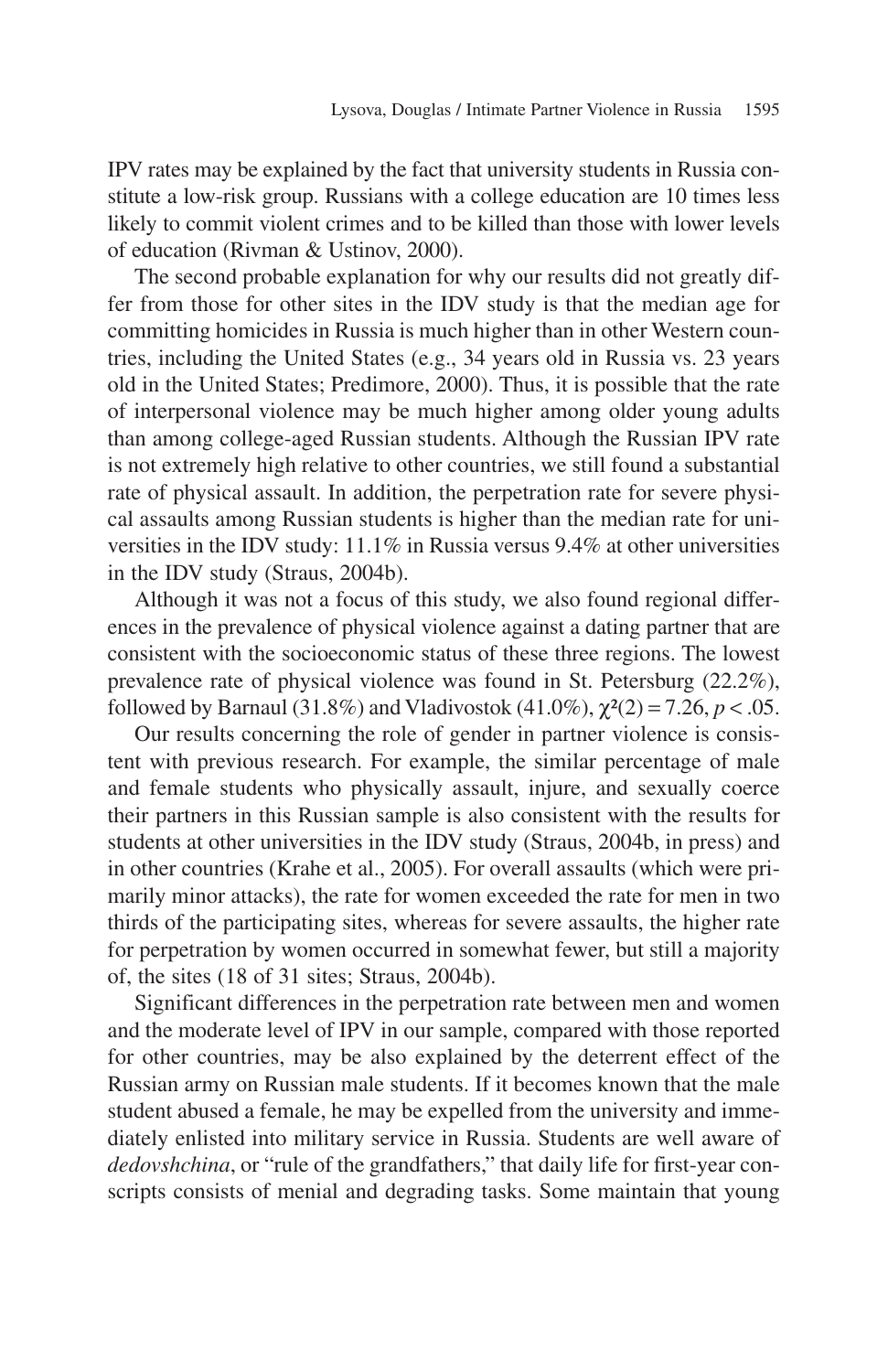IPV rates may be explained by the fact that university students in Russia constitute a low-risk group. Russians with a college education are 10 times less likely to commit violent crimes and to be killed than those with lower levels of education (Rivman & Ustinov, 2000).

The second probable explanation for why our results did not greatly differ from those for other sites in the IDV study is that the median age for committing homicides in Russia is much higher than in other Western countries, including the United States (e.g., 34 years old in Russia vs. 23 years old in the United States; Predimore, 2000). Thus, it is possible that the rate of interpersonal violence may be much higher among older young adults than among college-aged Russian students. Although the Russian IPV rate is not extremely high relative to other countries, we still found a substantial rate of physical assault. In addition, the perpetration rate for severe physical assaults among Russian students is higher than the median rate for universities in the IDV study: 11.1% in Russia versus 9.4% at other universities in the IDV study (Straus, 2004b).

Although it was not a focus of this study, we also found regional differences in the prevalence of physical violence against a dating partner that are consistent with the socioeconomic status of these three regions. The lowest prevalence rate of physical violence was found in St. Petersburg (22.2%), followed by Barnaul (31.8%) and Vladivostok (41.0%),  $\chi^2(2) = 7.26$ ,  $p < .05$ .

Our results concerning the role of gender in partner violence is consistent with previous research. For example, the similar percentage of male and female students who physically assault, injure, and sexually coerce their partners in this Russian sample is also consistent with the results for students at other universities in the IDV study (Straus, 2004b, in press) and in other countries (Krahe et al., 2005). For overall assaults (which were primarily minor attacks), the rate for women exceeded the rate for men in two thirds of the participating sites, whereas for severe assaults, the higher rate for perpetration by women occurred in somewhat fewer, but still a majority of, the sites (18 of 31 sites; Straus, 2004b).

Significant differences in the perpetration rate between men and women and the moderate level of IPV in our sample, compared with those reported for other countries, may be also explained by the deterrent effect of the Russian army on Russian male students. If it becomes known that the male student abused a female, he may be expelled from the university and immediately enlisted into military service in Russia. Students are well aware of *dedovshchina*, or "rule of the grandfathers," that daily life for first-year conscripts consists of menial and degrading tasks. Some maintain that young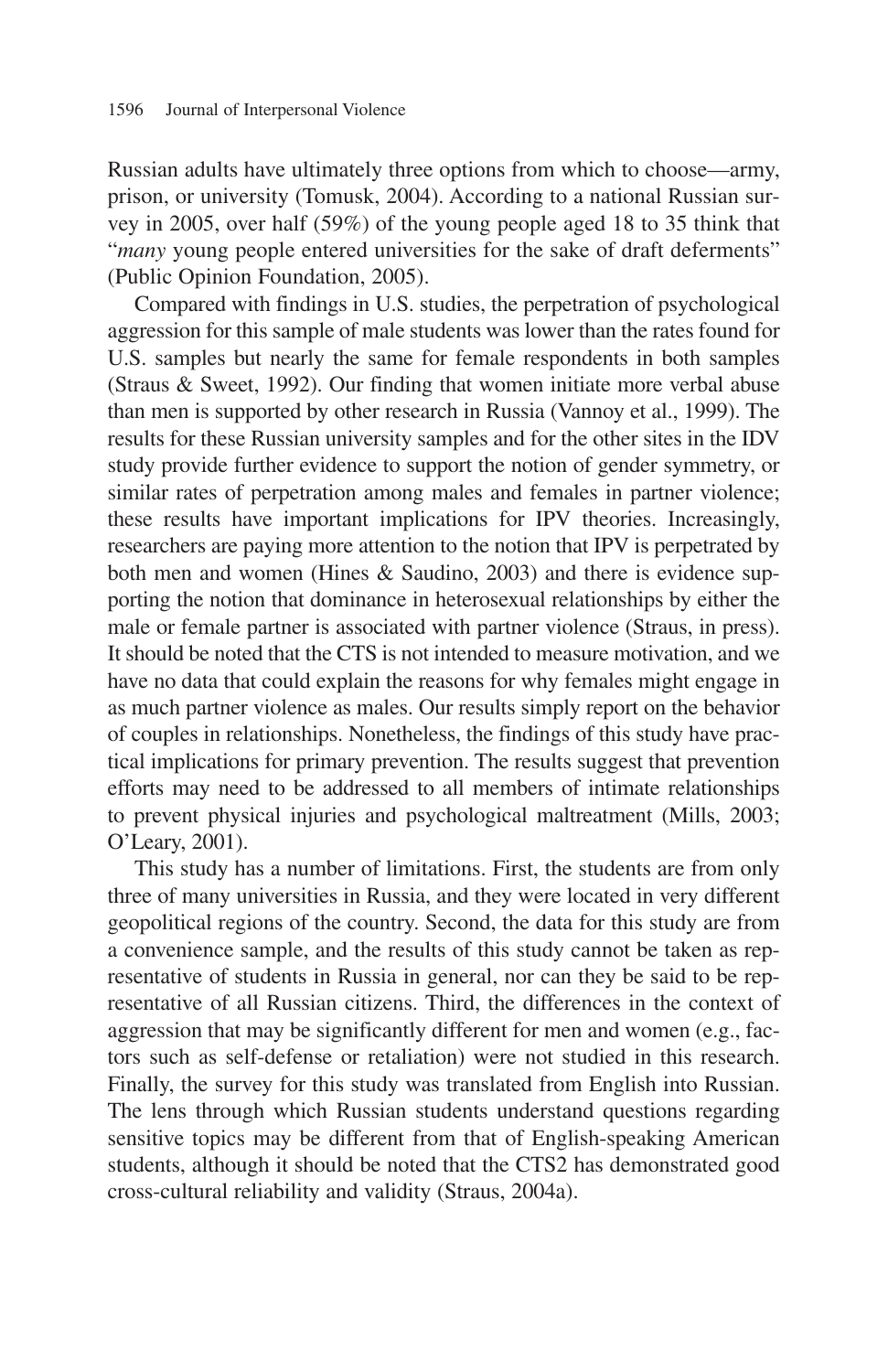Russian adults have ultimately three options from which to choose—army, prison, or university (Tomusk, 2004). According to a national Russian survey in 2005, over half (59%) of the young people aged 18 to 35 think that "*many* young people entered universities for the sake of draft deferments" (Public Opinion Foundation, 2005).

Compared with findings in U.S. studies, the perpetration of psychological aggression for this sample of male students was lower than the rates found for U.S. samples but nearly the same for female respondents in both samples (Straus & Sweet, 1992). Our finding that women initiate more verbal abuse than men is supported by other research in Russia (Vannoy et al., 1999). The results for these Russian university samples and for the other sites in the IDV study provide further evidence to support the notion of gender symmetry, or similar rates of perpetration among males and females in partner violence; these results have important implications for IPV theories. Increasingly, researchers are paying more attention to the notion that IPV is perpetrated by both men and women (Hines & Saudino, 2003) and there is evidence supporting the notion that dominance in heterosexual relationships by either the male or female partner is associated with partner violence (Straus, in press). It should be noted that the CTS is not intended to measure motivation, and we have no data that could explain the reasons for why females might engage in as much partner violence as males. Our results simply report on the behavior of couples in relationships. Nonetheless, the findings of this study have practical implications for primary prevention. The results suggest that prevention efforts may need to be addressed to all members of intimate relationships to prevent physical injuries and psychological maltreatment (Mills, 2003; O'Leary, 2001).

This study has a number of limitations. First, the students are from only three of many universities in Russia, and they were located in very different geopolitical regions of the country. Second, the data for this study are from a convenience sample, and the results of this study cannot be taken as representative of students in Russia in general, nor can they be said to be representative of all Russian citizens. Third, the differences in the context of aggression that may be significantly different for men and women (e.g., factors such as self-defense or retaliation) were not studied in this research. Finally, the survey for this study was translated from English into Russian. The lens through which Russian students understand questions regarding sensitive topics may be different from that of English-speaking American students, although it should be noted that the CTS2 has demonstrated good cross-cultural reliability and validity (Straus, 2004a).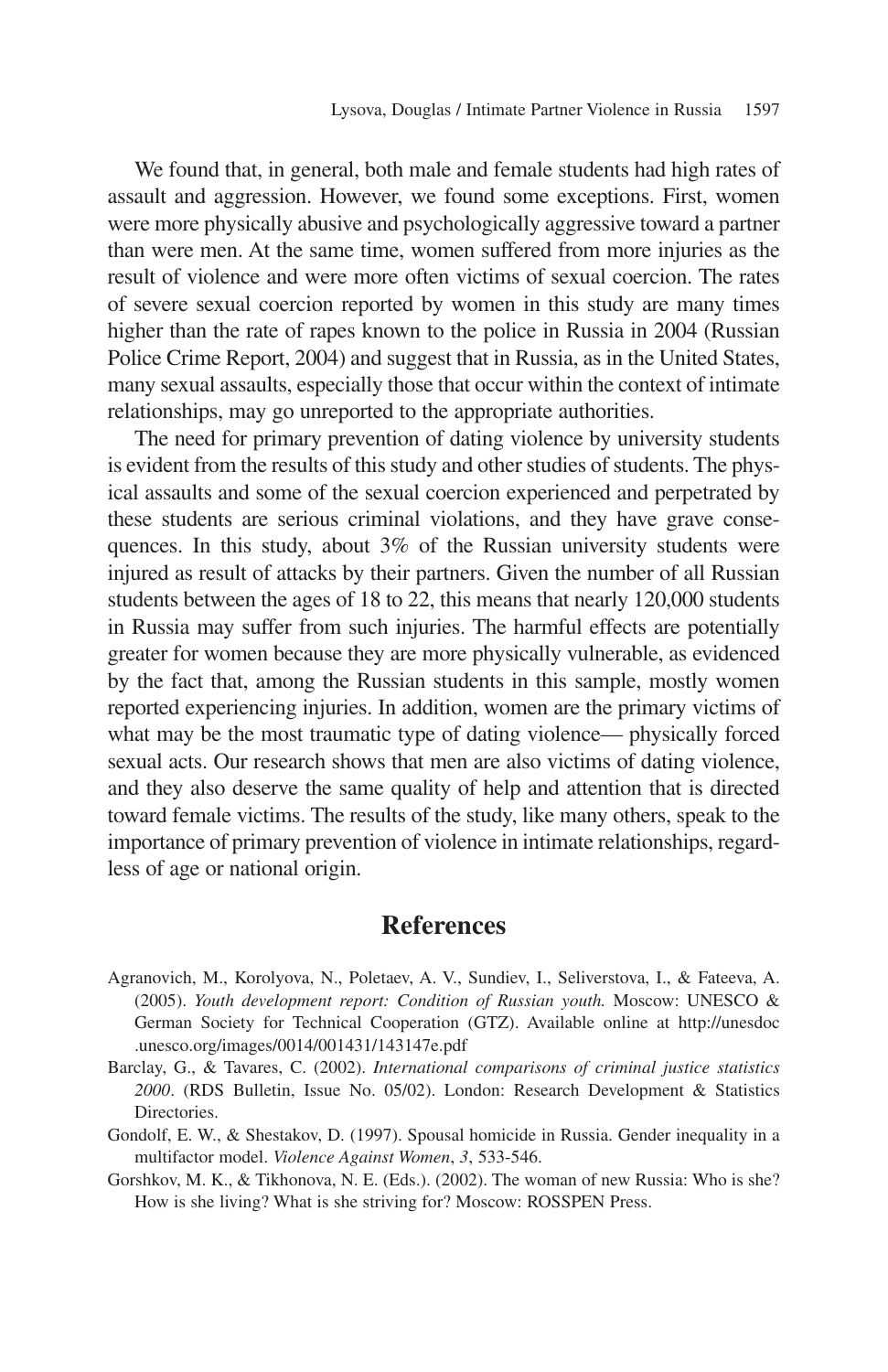We found that, in general, both male and female students had high rates of assault and aggression. However, we found some exceptions. First, women were more physically abusive and psychologically aggressive toward a partner than were men. At the same time, women suffered from more injuries as the result of violence and were more often victims of sexual coercion. The rates of severe sexual coercion reported by women in this study are many times higher than the rate of rapes known to the police in Russia in 2004 (Russian Police Crime Report, 2004) and suggest that in Russia, as in the United States, many sexual assaults, especially those that occur within the context of intimate relationships, may go unreported to the appropriate authorities.

The need for primary prevention of dating violence by university students is evident from the results of this study and other studies of students. The physical assaults and some of the sexual coercion experienced and perpetrated by these students are serious criminal violations, and they have grave consequences. In this study, about 3% of the Russian university students were injured as result of attacks by their partners. Given the number of all Russian students between the ages of 18 to 22, this means that nearly 120,000 students in Russia may suffer from such injuries. The harmful effects are potentially greater for women because they are more physically vulnerable, as evidenced by the fact that, among the Russian students in this sample, mostly women reported experiencing injuries. In addition, women are the primary victims of what may be the most traumatic type of dating violence— physically forced sexual acts. Our research shows that men are also victims of dating violence, and they also deserve the same quality of help and attention that is directed toward female victims. The results of the study, like many others, speak to the importance of primary prevention of violence in intimate relationships, regardless of age or national origin.

## **References**

- Agranovich, M., Korolyova, N., Poletaev, A. V., Sundiev, I., Seliverstova, I., & Fateeva, A. (2005). *Youth development report: Condition of Russian youth.* Moscow: UNESCO & German Society for Technical Cooperation (GTZ). Available online at http://unesdoc .unesco.org/images/0014/001431/143147e.pdf
- Barclay, G., & Tavares, C. (2002). *International comparisons of criminal justice statistics 2000*. (RDS Bulletin, Issue No. 05/02). London: Research Development & Statistics Directories.
- Gondolf, E. W., & Shestakov, D. (1997). Spousal homicide in Russia. Gender inequality in a multifactor model. *Violence Against Women*, *3*, 533-546.
- Gorshkov, M. K., & Tikhonova, N. E. (Eds.). (2002). The woman of new Russia: Who is she? How is she living? What is she striving for? Moscow: ROSSPEN Press.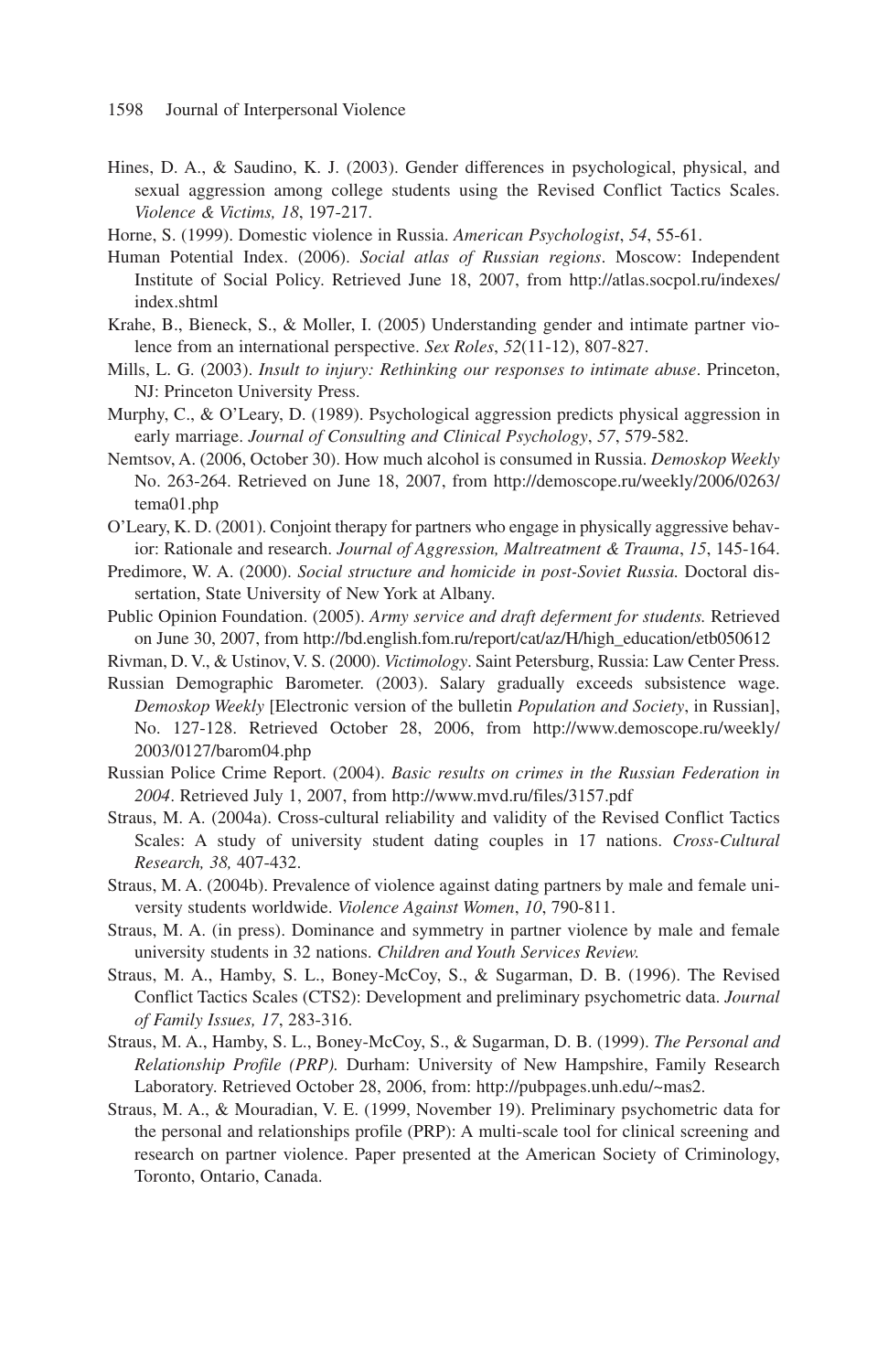- Hines, D. A., & Saudino, K. J. (2003). Gender differences in psychological, physical, and sexual aggression among college students using the Revised Conflict Tactics Scales. *Violence & Victims, 18*, 197-217.
- Horne, S. (1999). Domestic violence in Russia. *American Psychologist*, *54*, 55-61.
- Human Potential Index. (2006). *Social atlas of Russian regions*. Moscow: Independent Institute of Social Policy. Retrieved June 18, 2007, from http://atlas.socpol.ru/indexes/ index.shtml
- Krahe, B., Bieneck, S., & Moller, I. (2005) Understanding gender and intimate partner violence from an international perspective. *Sex Roles*, *52*(11-12), 807-827.
- Mills, L. G. (2003). *Insult to injury: Rethinking our responses to intimate abuse*. Princeton, NJ: Princeton University Press.
- Murphy, C., & O'Leary, D. (1989). Psychological aggression predicts physical aggression in early marriage. *Journal of Consulting and Clinical Psychology*, *57*, 579-582.
- Nemtsov, A. (2006, October 30). How much alcohol is consumed in Russia. *Demoskop Weekly* No. 263-264. Retrieved on June 18, 2007, from http://demoscope.ru/weekly/2006/0263/ tema01.php
- O'Leary, K. D. (2001). Conjoint therapy for partners who engage in physically aggressive behavior: Rationale and research. *Journal of Aggression, Maltreatment & Trauma*, *15*, 145-164.
- Predimore, W. A. (2000). *Social structure and homicide in post-Soviet Russia.* Doctoral dissertation, State University of New York at Albany.
- Public Opinion Foundation. (2005). *Army service and draft deferment for students.* Retrieved on June 30, 2007, from http://bd.english.fom.ru/report/cat/az/H/high\_education/etb050612
- Rivman, D. V., & Ustinov, V. S. (2000). *Victimology*. Saint Petersburg, Russia: Law Center Press.
- Russian Demographic Barometer. (2003). Salary gradually exceeds subsistence wage. *Demoskop Weekly* [Electronic version of the bulletin *Population and Society*, in Russian], No. 127-128. Retrieved October 28, 2006, from http://www.demoscope.ru/weekly/ 2003/0127/barom04.php
- Russian Police Crime Report. (2004). *Basic results on crimes in the Russian Federation in 2004*. Retrieved July 1, 2007, from http://www.mvd.ru/files/3157.pdf
- Straus, M. A. (2004a). Cross-cultural reliability and validity of the Revised Conflict Tactics Scales: A study of university student dating couples in 17 nations. *Cross-Cultural Research, 38,* 407-432.
- Straus, M. A. (2004b). Prevalence of violence against dating partners by male and female university students worldwide. *Violence Against Women*, *10*, 790-811.
- Straus, M. A. (in press). Dominance and symmetry in partner violence by male and female university students in 32 nations. *Children and Youth Services Review.*
- Straus, M. A., Hamby, S. L., Boney-McCoy, S., & Sugarman, D. B. (1996). The Revised Conflict Tactics Scales (CTS2): Development and preliminary psychometric data. *Journal of Family Issues, 17*, 283-316.
- Straus, M. A., Hamby, S. L., Boney-McCoy, S., & Sugarman, D. B. (1999). *The Personal and Relationship Profile (PRP).* Durham: University of New Hampshire, Family Research Laboratory. Retrieved October 28, 2006, from: http://pubpages.unh.edu/~mas2.
- Straus, M. A., & Mouradian, V. E. (1999, November 19). Preliminary psychometric data for the personal and relationships profile (PRP): A multi-scale tool for clinical screening and research on partner violence. Paper presented at the American Society of Criminology, Toronto, Ontario, Canada.